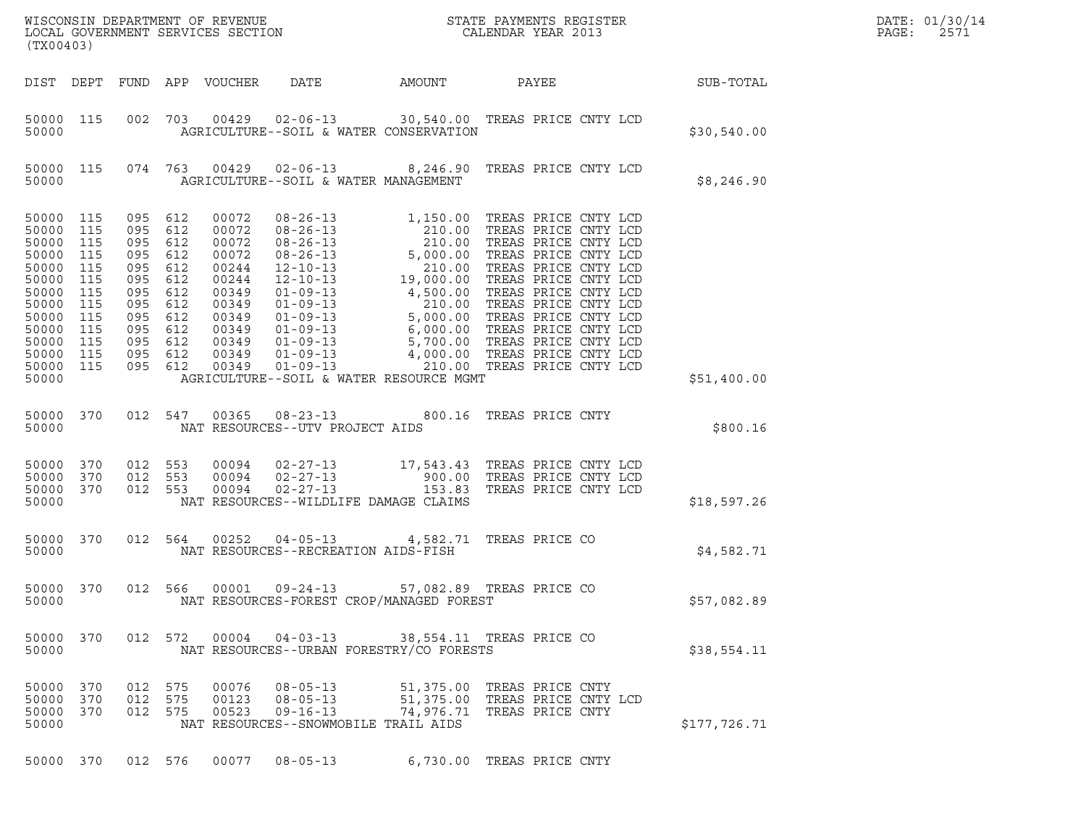| (TX00403)                                                                                                                          |                                                                           |                                                                                                             |                                                      |                                                                                                                   |                                                                                            | ${\tt WISCONSIM\ DEPARTMENT\ OF\ REVENUE}\hbox{\tt STATE\ PAYMENTS\ REGISTER\ LOCAL\ GOVERNMENT\ SERVICES\ SECTION\thinspace\ \bf 1013}$                                                                                                                                                              |                                                                                            |  | DATE: 01/30/14<br>PAGE:<br>2571 |  |
|------------------------------------------------------------------------------------------------------------------------------------|---------------------------------------------------------------------------|-------------------------------------------------------------------------------------------------------------|------------------------------------------------------|-------------------------------------------------------------------------------------------------------------------|--------------------------------------------------------------------------------------------|-------------------------------------------------------------------------------------------------------------------------------------------------------------------------------------------------------------------------------------------------------------------------------------------------------|--------------------------------------------------------------------------------------------|--|---------------------------------|--|
|                                                                                                                                    |                                                                           |                                                                                                             |                                                      | DIST DEPT FUND APP VOUCHER                                                                                        | DATE                                                                                       | AMOUNT                                                                                                                                                                                                                                                                                                | PAYEE                                                                                      |  | <b>SUB-TOTAL</b>                |  |
| 50000 115<br>50000                                                                                                                 |                                                                           |                                                                                                             |                                                      |                                                                                                                   |                                                                                            | 002 703 00429 02-06-13 30,540.00 TREAS PRICE CNTY LCD<br>AGRICULTURE--SOIL & WATER CONSERVATION                                                                                                                                                                                                       |                                                                                            |  | \$30,540.00                     |  |
| 50000 115<br>50000                                                                                                                 |                                                                           |                                                                                                             |                                                      |                                                                                                                   | AGRICULTURE--SOIL & WATER MANAGEMENT                                                       | 074 763 00429 02-06-13 8,246.90 TREAS PRICE CNTY LCD                                                                                                                                                                                                                                                  |                                                                                            |  | \$8,246.90                      |  |
| 50000 115<br>50000<br>50000<br>50000<br>50000<br>50000<br>50000<br>50000<br>50000<br>50000<br>50000<br>50000<br>50000 115<br>50000 | 115<br>115<br>115<br>115<br>115<br>115<br>115<br>115<br>115<br>115<br>115 | 095<br>095<br>095<br>095<br>095 612<br>095<br>095<br>095<br>095 612<br>095<br>095 612<br>095 612<br>095 612 | 612<br>612<br>612<br>612<br>612<br>612<br>612<br>612 | 00072<br>00072<br>00072<br>00072<br>00244<br>00244<br>00349<br>00349<br>00349<br>00349<br>00349<br>00349<br>00349 |                                                                                            | 08-26-13<br>08-26-13<br>08-26-13<br>08-26-13<br>08-26-13<br>08-26-13<br>08-26-13<br>08-26-13<br>01.00 TREAS PRICE CNTY LCD<br>01-01-13<br>01.00 TREAS PRICE CNTY LCD<br>12-10-13<br>19,000.00 TREAS PRICE CNTY LCD<br>01-09-13<br>4,500.00 TREAS PRICE CNT<br>AGRICULTURE--SOIL & WATER RESOURCE MGMT |                                                                                            |  | \$51,400.00                     |  |
| 50000 370<br>50000                                                                                                                 |                                                                           |                                                                                                             | 012 547                                              |                                                                                                                   | NAT RESOURCES--UTV PROJECT AIDS                                                            | 00365 08-23-13 800.16 TREAS PRICE CNTY                                                                                                                                                                                                                                                                |                                                                                            |  | \$800.16                        |  |
| 50000 370<br>50000<br>50000 370<br>50000                                                                                           | 370                                                                       | 012 553<br>012 553<br>012 553                                                                               |                                                      | 00094<br>00094<br>00094                                                                                           | NAT RESOURCES--WILDLIFE DAMAGE CLAIMS                                                      | 02-27-13 17,543.43 TREAS PRICE CNTY LCD<br>02-27-13 900.00 TREAS PRICE CNTY LCD<br>02-27-13 153.83 TREAS PRICE CNTY LCD                                                                                                                                                                               |                                                                                            |  | \$18,597.26                     |  |
| 50000 370<br>50000                                                                                                                 |                                                                           |                                                                                                             | 012 564                                              | 00252                                                                                                             | NAT RESOURCES--RECREATION AIDS-FISH                                                        | 04-05-13 4,582.71 TREAS PRICE CO                                                                                                                                                                                                                                                                      |                                                                                            |  | \$4,582.71                      |  |
| 50000 370<br>50000                                                                                                                 |                                                                           | 012 566                                                                                                     |                                                      |                                                                                                                   | 00001 09-24-13                                                                             | NAT RESOURCES-FOREST CROP/MANAGED FOREST                                                                                                                                                                                                                                                              | 57,082.89 TREAS PRICE CO                                                                   |  | \$57,082.89                     |  |
| 50000 370<br>50000                                                                                                                 |                                                                           |                                                                                                             | 012 572                                              |                                                                                                                   | $00004$ $04 - 03 - 13$                                                                     | NAT RESOURCES--URBAN FORESTRY/CO FORESTS                                                                                                                                                                                                                                                              | 38,554.11 TREAS PRICE CO                                                                   |  | \$38,554.11                     |  |
| 50000 370<br>50000 370<br>50000 370<br>50000                                                                                       |                                                                           | 012 575<br>012<br>012 575                                                                                   | 575                                                  | 00076<br>00123<br>00523                                                                                           | $08 - 05 - 13$<br>$08 - 05 - 13$<br>$09 - 16 - 13$<br>NAT RESOURCES--SNOWMOBILE TRAIL AIDS |                                                                                                                                                                                                                                                                                                       | 51,375.00 TREAS PRICE CNTY<br>51,375.00 TREAS PRICE CNTY LCD<br>74,976.71 TREAS PRICE CNTY |  | \$177,726.71                    |  |
| 50000 370                                                                                                                          |                                                                           | 012 576                                                                                                     |                                                      | 00077                                                                                                             | $08 - 05 - 13$                                                                             |                                                                                                                                                                                                                                                                                                       | 6,730.00 TREAS PRICE CNTY                                                                  |  |                                 |  |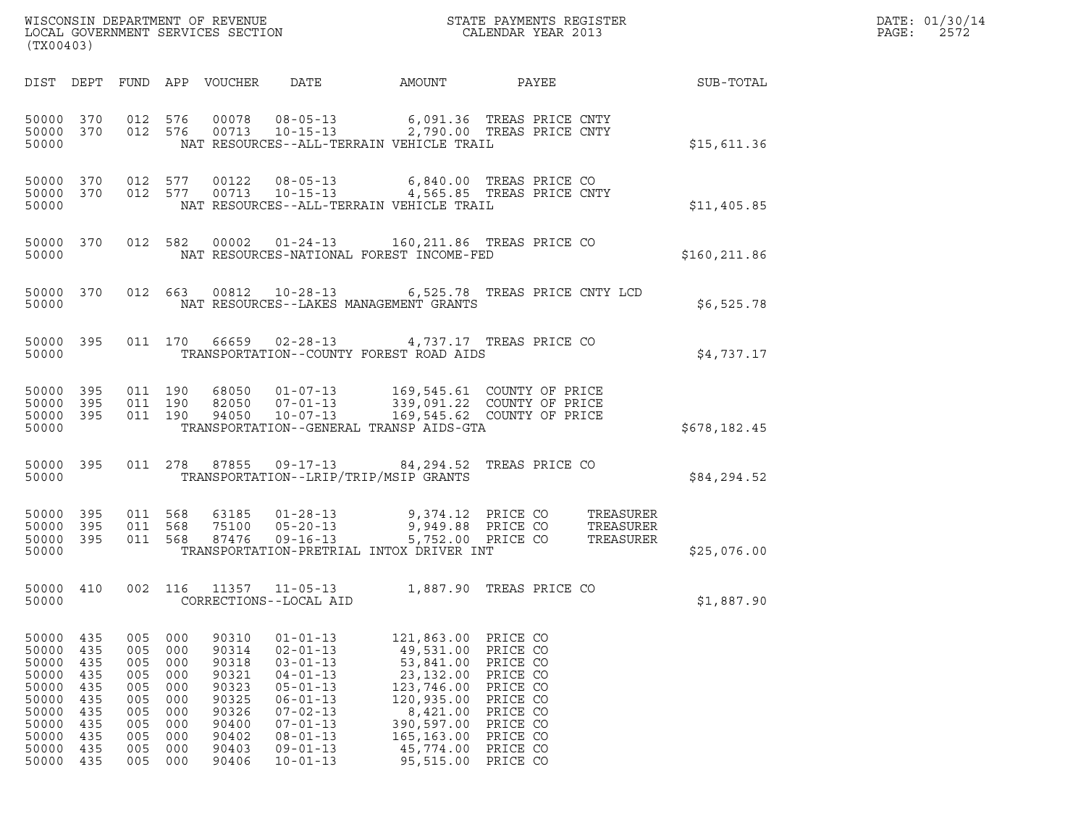|       | DATE: 01/30/14 |
|-------|----------------|
| PAGE: | 2572           |

| (TX00403)                                                                                       |                                                                           |                                                                           |                                                                           |                                                                                                 |                                                                                                                                                                                                    | $\tt WISCONSIM DEPARTMENT OF REVENUE$ $\tt WISCONBINS REGISTER$ $\tt LOCAL BODAR YEAR$ $2013$                                                       |                                                                                                                                  |                  | DATE: 01/30/14<br>PAGE:<br>2572 |
|-------------------------------------------------------------------------------------------------|---------------------------------------------------------------------------|---------------------------------------------------------------------------|---------------------------------------------------------------------------|-------------------------------------------------------------------------------------------------|----------------------------------------------------------------------------------------------------------------------------------------------------------------------------------------------------|-----------------------------------------------------------------------------------------------------------------------------------------------------|----------------------------------------------------------------------------------------------------------------------------------|------------------|---------------------------------|
|                                                                                                 |                                                                           |                                                                           |                                                                           | DIST DEPT FUND APP VOUCHER                                                                      | DATE                                                                                                                                                                                               | AMOUNT                                                                                                                                              | PAYEE                                                                                                                            | <b>SUB-TOTAL</b> |                                 |
| 50000 370 012 576<br>50000 370<br>50000                                                         |                                                                           |                                                                           | 012 576                                                                   |                                                                                                 |                                                                                                                                                                                                    | 00078  08-05-13   6,091.36   TREAS   PRICE   CNTY<br>00713   10-15-13   2,790.00   TREAS   PRICE   CNTY<br>NAT RESOURCES--ALL-TERRAIN VEHICLE TRAIL |                                                                                                                                  | \$15,611.36      |                                 |
| 50000 370<br>50000                                                                              |                                                                           |                                                                           | 012 577                                                                   |                                                                                                 |                                                                                                                                                                                                    | 00122  08-05-13  6,840.00  TREAS PRICE CO<br>50000 370 012 577 00713 10-15-13 4,565.85 TREAS PRICE CNTY<br>NAT RESOURCES--ALL-TERRAIN VEHICLE TRAIL |                                                                                                                                  | \$11,405.85      |                                 |
| 50000 370<br>50000                                                                              |                                                                           |                                                                           |                                                                           |                                                                                                 |                                                                                                                                                                                                    | 012 582 00002 01-24-13 160,211.86 TREAS PRICE CO<br>NAT RESOURCES-NATIONAL FOREST INCOME-FED                                                        |                                                                                                                                  | \$160, 211.86    |                                 |
| 50000 370<br>50000                                                                              |                                                                           |                                                                           |                                                                           |                                                                                                 |                                                                                                                                                                                                    | 012  663  00812  10-28-13  6,525.78  TREAS  PRICE CNTY  LCD<br>NAT RESOURCES--LAKES MANAGEMENT GRANTS                                               |                                                                                                                                  | \$6,525.78       |                                 |
| 50000 395<br>50000                                                                              |                                                                           |                                                                           |                                                                           |                                                                                                 |                                                                                                                                                                                                    | 011 170  66659  02-28-13  4,737.17  TREAS PRICE CO<br>TRANSPORTATION--COUNTY FOREST ROAD AIDS                                                       |                                                                                                                                  | \$4,737.17       |                                 |
| 50000 395<br>50000 395<br>50000 395<br>50000                                                    |                                                                           |                                                                           | 011 190<br>011 190<br>011 190                                             | 94050                                                                                           | $10 - 07 - 13$                                                                                                                                                                                     | 68050 01-07-13 169,545.61 COUNTY OF PRICE<br>82050 07-01-13 339,091.22 COUNTY OF PRICE<br>TRANSPORTATION--GENERAL TRANSP AIDS-GTA                   | 169,545.62 COUNTY OF PRICE                                                                                                       | \$678,182.45     |                                 |
| 50000 395<br>50000                                                                              |                                                                           |                                                                           |                                                                           |                                                                                                 |                                                                                                                                                                                                    | 011  278  87855  09-17-13  84, 294.52  TREAS PRICE CO<br>TRANSPORTATION--LRIP/TRIP/MSIP GRANTS                                                      |                                                                                                                                  | \$84,294.52      |                                 |
| 50000 395<br>50000 395<br>50000 395<br>50000                                                    |                                                                           | 011 568                                                                   | 011 568<br>011 568                                                        |                                                                                                 |                                                                                                                                                                                                    | TRANSPORTATION-PRETRIAL INTOX DRIVER INT                                                                                                            |                                                                                                                                  | \$25,076.00      |                                 |
| 50000                                                                                           |                                                                           |                                                                           |                                                                           |                                                                                                 | CORRECTIONS--LOCAL AID                                                                                                                                                                             | 50000 410 002 116 11357 11-05-13 1,887.90 TREAS PRICE CO                                                                                            |                                                                                                                                  | \$1,887.90       |                                 |
| 50000<br>50000<br>50000<br>50000<br>50000<br>50000<br>50000<br>50000<br>50000<br>50000<br>50000 | 435<br>435<br>435<br>435<br>435<br>435<br>435<br>435<br>435<br>435<br>435 | 005<br>005<br>005<br>005<br>005<br>005<br>005<br>005<br>005<br>005<br>005 | 000<br>000<br>000<br>000<br>000<br>000<br>000<br>000<br>000<br>000<br>000 | 90310<br>90314<br>90318<br>90321<br>90323<br>90325<br>90326<br>90400<br>90402<br>90403<br>90406 | $01 - 01 - 13$<br>$02 - 01 - 13$<br>$03 - 01 - 13$<br>$04 - 01 - 13$<br>$05 - 01 - 13$<br>$06 - 01 - 13$<br>$07 - 02 - 13$<br>$07 - 01 - 13$<br>$08 - 01 - 13$<br>$09 - 01 - 13$<br>$10 - 01 - 13$ | 121,863.00<br>49,531.00<br>53,841.00<br>23, 132.00<br>123,746.00<br>120,935.00<br>8,421.00<br>390,597.00<br>165, 163.00<br>45,774.00<br>95,515.00   | PRICE CO<br>PRICE CO<br>PRICE CO<br>PRICE CO<br>PRICE CO<br>PRICE CO<br>PRICE CO<br>PRICE CO<br>PRICE CO<br>PRICE CO<br>PRICE CO |                  |                                 |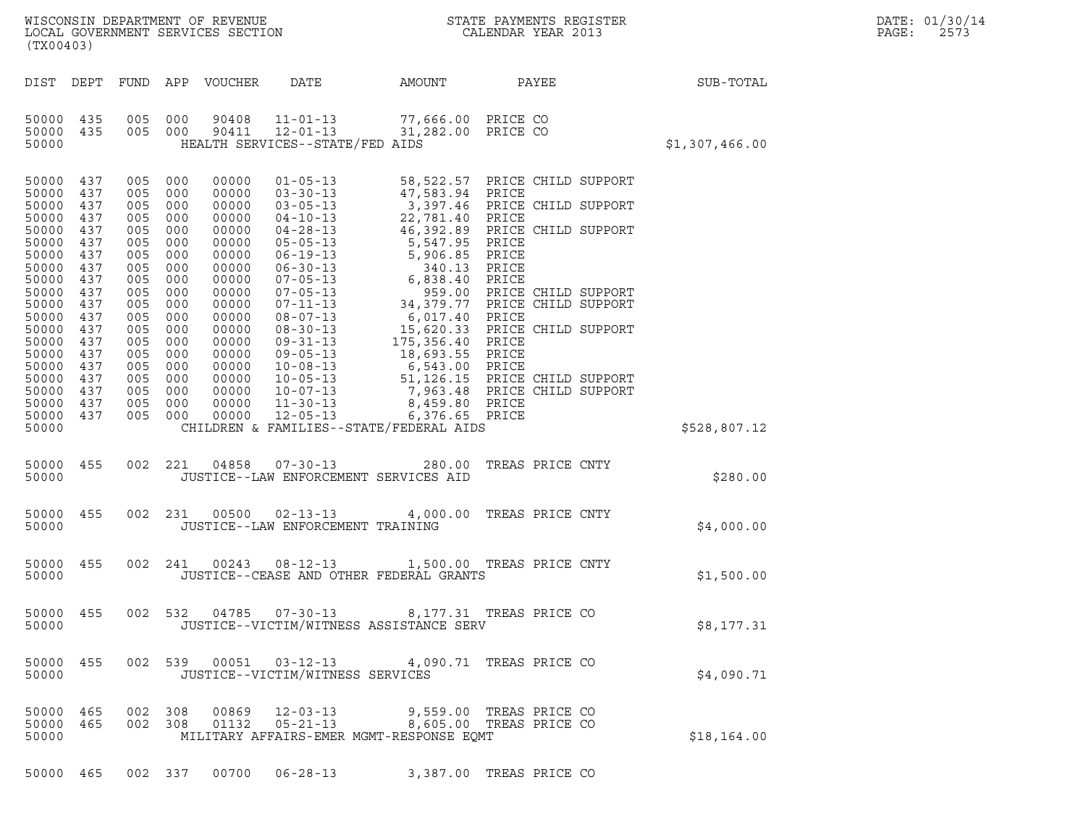|       | DATE: 01/30/14 |
|-------|----------------|
| PAGE: | 2573           |

| (TX00403)                                                                                                                                                                                                                                                                                                                    |                                                                                                                                                       |                                                                                                                                                                                                                                                                                               |                                                                                                  |                                          |                         |  |                | DATE: 01/30/14<br>PAGE:<br>2573 |
|------------------------------------------------------------------------------------------------------------------------------------------------------------------------------------------------------------------------------------------------------------------------------------------------------------------------------|-------------------------------------------------------------------------------------------------------------------------------------------------------|-----------------------------------------------------------------------------------------------------------------------------------------------------------------------------------------------------------------------------------------------------------------------------------------------|--------------------------------------------------------------------------------------------------|------------------------------------------|-------------------------|--|----------------|---------------------------------|
|                                                                                                                                                                                                                                                                                                                              |                                                                                                                                                       | DIST DEPT FUND APP VOUCHER                                                                                                                                                                                                                                                                    | <b>DATE</b>                                                                                      | AMOUNT                                   | <b>PAYEE</b>            |  | SUB-TOTAL      |                                 |
| 50000 435<br>50000 435<br>50000                                                                                                                                                                                                                                                                                              | 005 000                                                                                                                                               | 90408<br>005 000<br>90411                                                                                                                                                                                                                                                                     | $11 - 01 - 13$<br>$12 - 01 - 13$<br>HEALTH SERVICES--STATE/FED AIDS                              | 77,666.00 PRICE CO<br>31,282.00 PRICE CO |                         |  | \$1,307,466.00 |                                 |
| 50000 437<br>50000 437<br>50000<br>437<br>50000<br>437<br>50000<br>437<br>50000<br>437<br>50000<br>437<br>50000<br>437<br>50000<br>437<br>50000<br>437<br>50000<br>437<br>50000<br>437<br>50000<br>437<br>50000<br>437<br>50000<br>437<br>50000<br>437<br>50000<br>437<br>50000<br>437<br>50000<br>437<br>50000 437<br>50000 | 005<br>005<br>005<br>005<br>005<br>005<br>005<br>005<br>005<br>005<br>005<br>005 000<br>005<br>005 000<br>005<br>005 000<br>005<br>005 000<br>005 000 | 000<br>00000<br>000<br>00000<br>000<br>00000<br>000<br>00000<br>000<br>00000<br>000<br>00000<br>000<br>00000<br>000<br>00000<br>000<br>00000<br>000<br>00000<br>000<br>00000<br>00000<br>000<br>00000<br>00000<br>000<br>00000<br>00000<br>000<br>00000<br>00000<br>00000<br>00000<br>005 000 | CHILDREN & FAMILIES--STATE/FEDERAL AIDS                                                          |                                          |                         |  | \$528,807.12   |                                 |
| 50000 455<br>50000                                                                                                                                                                                                                                                                                                           |                                                                                                                                                       |                                                                                                                                                                                                                                                                                               | 002 221 04858 07-30-13<br>JUSTICE--LAW ENFORCEMENT SERVICES AID                                  |                                          | 280.00 TREAS PRICE CNTY |  | \$280.00       |                                 |
| 50000 455<br>50000                                                                                                                                                                                                                                                                                                           |                                                                                                                                                       |                                                                                                                                                                                                                                                                                               | 002 231 00500 02-13-13 4,000.00 TREAS PRICE CNTY<br>JUSTICE--LAW ENFORCEMENT TRAINING            |                                          |                         |  | \$4,000.00     |                                 |
| 50000 455<br>50000                                                                                                                                                                                                                                                                                                           |                                                                                                                                                       |                                                                                                                                                                                                                                                                                               | 002  241  00243  08-12-13  1,500.00  TREAS PRICE CNTY<br>JUSTICE--CEASE AND OTHER FEDERAL GRANTS |                                          |                         |  | \$1,500.00     |                                 |
| 50000 455<br>50000                                                                                                                                                                                                                                                                                                           |                                                                                                                                                       |                                                                                                                                                                                                                                                                                               | 002 532 04785 07-30-13<br>JUSTICE--VICTIM/WITNESS ASSISTANCE SERV                                |                                          | 8,177.31 TREAS PRICE CO |  | \$8,177.31     |                                 |
| 50000 455<br>50000                                                                                                                                                                                                                                                                                                           |                                                                                                                                                       |                                                                                                                                                                                                                                                                                               | 002 539 00051 03-12-13<br>JUSTICE--VICTIM/WITNESS SERVICES                                       |                                          | 4,090.71 TREAS PRICE CO |  | \$4,090.71     |                                 |
| 50000 465<br>50000 465<br>50000                                                                                                                                                                                                                                                                                              |                                                                                                                                                       | 002 308<br>002 308<br>01132                                                                                                                                                                                                                                                                   | 00869 12-03-13<br>MILITARY AFFAIRS-EMER MGMT-RESPONSE EQMT                                       | 05-21-13 8,605.00 TREAS PRICE CO         | 9,559.00 TREAS PRICE CO |  | \$18,164.00    |                                 |

50000 465 002 337 00700 06-28-13 3,387.00 TREAS PRICE CO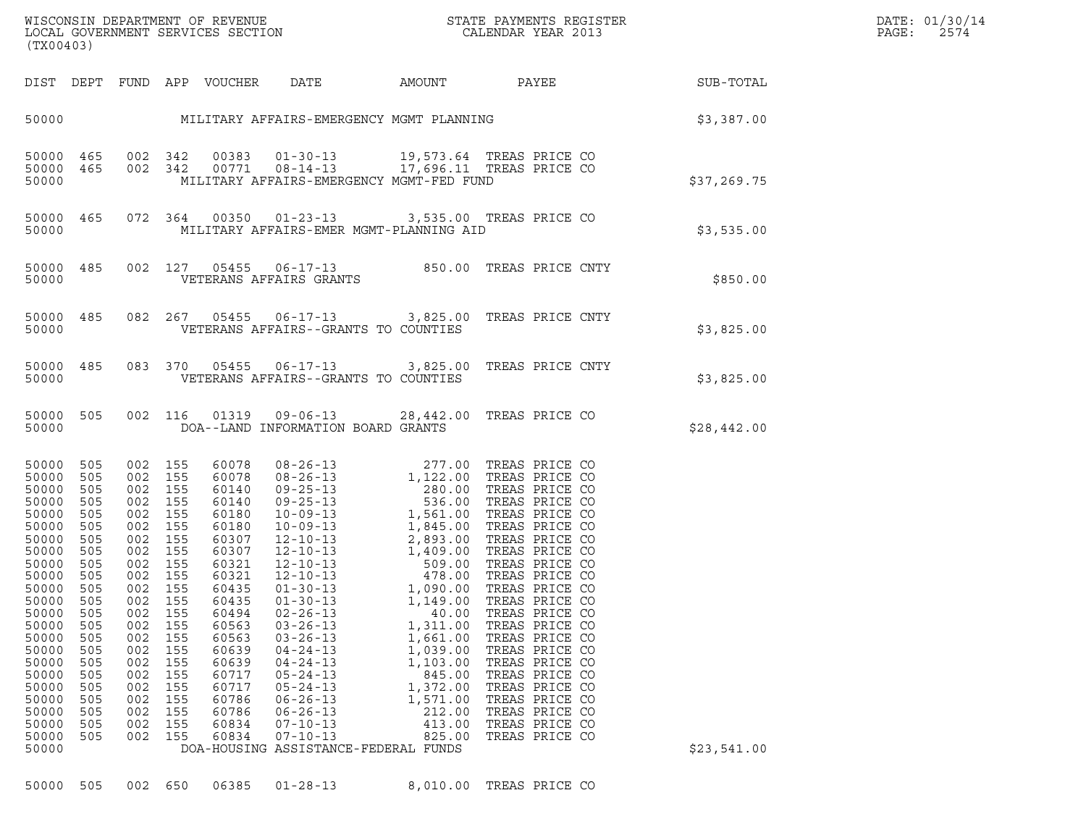| (TX00403)                                                                                                                                                                                                                                                                                                                                                                          |                                                                                  |                                                                                                                                                                                                           |                                                                                                                                                                                                             |                                                                                                                                                                                                                                                                                                                                                                                                                                                                                                                           |                                                                                                                                   | ${\tt WISCONSIM\ DEPARTMENT\ OF\ REVENUE}\hbox{\tt STATE\ PAYMENTS\ REGISTER\ LOCAL\ GOVERNMENT\ SERVICES\ SECTION\thinspace\ {\tt SCTION}\hbox{\tt CALENDAR\ YEAR\ 2013}}$                                          |             | DATE: 01/30/14<br>PAGE:<br>2574 |
|------------------------------------------------------------------------------------------------------------------------------------------------------------------------------------------------------------------------------------------------------------------------------------------------------------------------------------------------------------------------------------|----------------------------------------------------------------------------------|-----------------------------------------------------------------------------------------------------------------------------------------------------------------------------------------------------------|-------------------------------------------------------------------------------------------------------------------------------------------------------------------------------------------------------------|---------------------------------------------------------------------------------------------------------------------------------------------------------------------------------------------------------------------------------------------------------------------------------------------------------------------------------------------------------------------------------------------------------------------------------------------------------------------------------------------------------------------------|-----------------------------------------------------------------------------------------------------------------------------------|----------------------------------------------------------------------------------------------------------------------------------------------------------------------------------------------------------------------|-------------|---------------------------------|
| DIST DEPT FUND APP VOUCHER DATE                                                                                                                                                                                                                                                                                                                                                    |                                                                                  |                                                                                                                                                                                                           |                                                                                                                                                                                                             |                                                                                                                                                                                                                                                                                                                                                                                                                                                                                                                           |                                                                                                                                   | AMOUNT PAYEE SUB-TOTAL                                                                                                                                                                                               |             |                                 |
|                                                                                                                                                                                                                                                                                                                                                                                    |                                                                                  |                                                                                                                                                                                                           |                                                                                                                                                                                                             |                                                                                                                                                                                                                                                                                                                                                                                                                                                                                                                           |                                                                                                                                   | 50000 MILITARY AFFAIRS-EMERGENCY MGMT PLANNING SOURCH \$3,387.00                                                                                                                                                     |             |                                 |
| 50000 465<br>50000 465<br>50000                                                                                                                                                                                                                                                                                                                                                    |                                                                                  |                                                                                                                                                                                                           |                                                                                                                                                                                                             | 002 342 00383 01-30-13 19,573.64 TREAS PRICE CO<br>002 342 00771 08-14-13 17,696.11 TREAS PRICE CO<br>MILITARY AFFAIRS-EMERGENCY MGMT-FED FUND                                                                                                                                                                                                                                                                                                                                                                            |                                                                                                                                   |                                                                                                                                                                                                                      | \$37,269.75 |                                 |
| 50000 465<br>50000                                                                                                                                                                                                                                                                                                                                                                 |                                                                                  |                                                                                                                                                                                                           |                                                                                                                                                                                                             | 072 364 00350 01-23-13 3,535.00 TREAS PRICE CO<br>MILITARY AFFAIRS-EMER MGMT-PLANNING AID                                                                                                                                                                                                                                                                                                                                                                                                                                 |                                                                                                                                   |                                                                                                                                                                                                                      | \$3,535.00  |                                 |
| 50000 485<br>50000                                                                                                                                                                                                                                                                                                                                                                 |                                                                                  | 002 127                                                                                                                                                                                                   |                                                                                                                                                                                                             |                                                                                                                                                                                                                                                                                                                                                                                                                                                                                                                           |                                                                                                                                   | 27 05455 06-17-13 850.00 TREAS PRICE CNTY<br>VETERANS AFFAIRS GRANTS                                                                                                                                                 | \$850.00    |                                 |
| 50000 485<br>50000                                                                                                                                                                                                                                                                                                                                                                 |                                                                                  | 082 267                                                                                                                                                                                                   |                                                                                                                                                                                                             | VETERANS AFFAIRS--GRANTS TO COUNTIES                                                                                                                                                                                                                                                                                                                                                                                                                                                                                      |                                                                                                                                   | 05455  06-17-13  3,825.00 TREAS PRICE CNTY                                                                                                                                                                           | \$3,825.00  |                                 |
| 50000 485<br>50000                                                                                                                                                                                                                                                                                                                                                                 |                                                                                  |                                                                                                                                                                                                           |                                                                                                                                                                                                             | VETERANS AFFAIRS--GRANTS TO COUNTIES                                                                                                                                                                                                                                                                                                                                                                                                                                                                                      |                                                                                                                                   | 083 370 05455 06-17-13 3,825.00 TREAS PRICE CNTY                                                                                                                                                                     | \$3,825.00  |                                 |
| 50000 505<br>50000                                                                                                                                                                                                                                                                                                                                                                 |                                                                                  | 002 116                                                                                                                                                                                                   |                                                                                                                                                                                                             | 01319  09-06-13  28,442.00  TREAS PRICE CO<br>DOA--LAND INFORMATION BOARD GRANTS                                                                                                                                                                                                                                                                                                                                                                                                                                          |                                                                                                                                   |                                                                                                                                                                                                                      | \$28,442.00 |                                 |
| 50000<br>505<br>50000<br>505<br>50000<br>505<br>50000<br>505<br>50000<br>505<br>50000<br>505<br>50000<br>505<br>50000<br>505<br>50000<br>505<br>50000<br>505<br>50000 505<br>50000<br>505<br>50000<br>505<br>50000<br>505<br>50000<br>505<br>50000<br>505<br>50000<br>505<br>50000<br>505<br>50000<br>505<br>50000<br>505<br>50000<br>505<br>50000<br>505<br>50000<br>505<br>50000 | 002<br>002<br>002<br>002<br>002<br>002<br>002<br>002<br>002<br>002<br>002<br>002 | 002 155<br>002 155<br>002 155<br>002 155<br>002 155<br>002 155<br>002 155<br>002 155<br>002 155<br>002 155<br>002 155<br>155<br>155<br>155<br>155<br>155<br>155<br>155<br>155<br>155<br>155<br>155<br>155 | 60078<br>60078<br>60140<br>60140<br>60180<br>60180<br>60307<br>60307<br>60321<br>60321<br>60435<br>60435<br>60494<br>60563<br>60563<br>60639<br>60639<br>60717<br>60717<br>60786<br>60786<br>60834<br>60834 | 08-26-13<br>08-26-13<br>09-25-13<br>09-25-13<br>1,122.00 TREAS PRICE CO<br>09-25-13<br>536.00 TREAS PRICE CO<br>10-09-13<br>1,561.00 TREAS PRICE CO<br>10-09-13<br>1,845.00 TREAS PRICE CO<br>12-10-13<br>2,893.00 TREAS PRICE CO<br>12-10-13<br>1,409.00<br>$01 - 30 - 13$<br>$02 - 26 - 13$<br>$03 - 26 - 13$<br>$03 - 26 - 13$<br>$04 - 24 - 13$<br>$04 - 24 - 13$<br>$05 - 24 - 13$<br>$05 - 24 - 13$<br>$06 - 26 - 13$<br>$06 - 26 - 13$<br>$07 - 10 - 13$<br>$07 - 10 - 13$<br>DOA-HOUSING ASSISTANCE-FEDERAL FUNDS | 1,149.00<br>40.00<br>1,311.00<br>1,661.00<br>1,039.00<br>1,103.00<br>845.00<br>1,372.00<br>1,571.00<br>212.00<br>413.00<br>825.00 | TREAS PRICE CO<br>TREAS PRICE CO<br>TREAS PRICE CO<br>TREAS PRICE CO<br>TREAS PRICE CO<br>TREAS PRICE CO<br>TREAS PRICE CO<br>TREAS PRICE CO<br>TREAS PRICE CO<br>TREAS PRICE CO<br>TREAS PRICE CO<br>TREAS PRICE CO | \$23,541.00 |                                 |

50000 505 002 650 06385 01-28-13 8,010.00 TREAS PRICE CO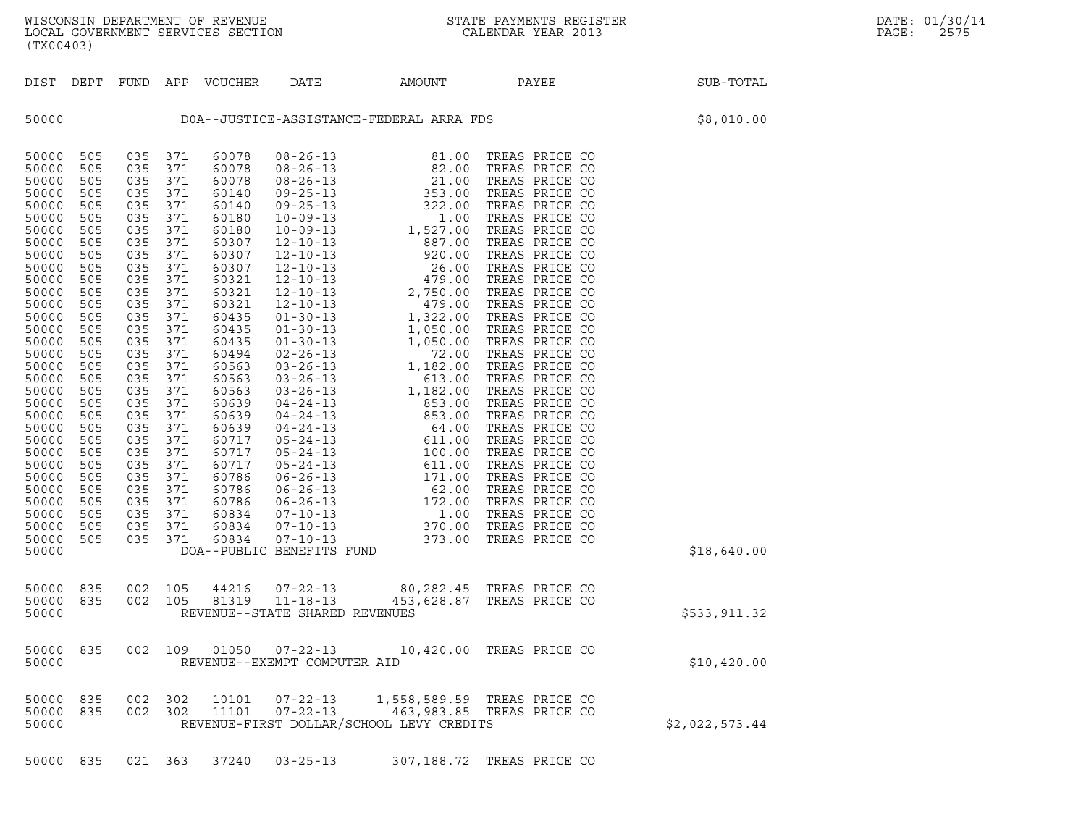| (TX00403)                                                                                                                                                                                                                                                                                             |                                                                                                                                                                                                                              |                                                                                                                                                                                                                              |                                                                                                                                                                                                                              |                                                                                                                                                                                                                                                                                              |                                                                                 |                                                                                                                                                                                                                                                                                       |                                                                                                                                                                                                                                                                                                                                                                                                                                                                                                                                                                                              |                |
|-------------------------------------------------------------------------------------------------------------------------------------------------------------------------------------------------------------------------------------------------------------------------------------------------------|------------------------------------------------------------------------------------------------------------------------------------------------------------------------------------------------------------------------------|------------------------------------------------------------------------------------------------------------------------------------------------------------------------------------------------------------------------------|------------------------------------------------------------------------------------------------------------------------------------------------------------------------------------------------------------------------------|----------------------------------------------------------------------------------------------------------------------------------------------------------------------------------------------------------------------------------------------------------------------------------------------|---------------------------------------------------------------------------------|---------------------------------------------------------------------------------------------------------------------------------------------------------------------------------------------------------------------------------------------------------------------------------------|----------------------------------------------------------------------------------------------------------------------------------------------------------------------------------------------------------------------------------------------------------------------------------------------------------------------------------------------------------------------------------------------------------------------------------------------------------------------------------------------------------------------------------------------------------------------------------------------|----------------|
| DIST                                                                                                                                                                                                                                                                                                  | DEPT                                                                                                                                                                                                                         | FUND                                                                                                                                                                                                                         | APP                                                                                                                                                                                                                          | VOUCHER DATE                                                                                                                                                                                                                                                                                 |                                                                                 | AMOUNT                                                                                                                                                                                                                                                                                | PAYEE                                                                                                                                                                                                                                                                                                                                                                                                                                                                                                                                                                                        | SUB-TOTAL      |
| 50000                                                                                                                                                                                                                                                                                                 |                                                                                                                                                                                                                              |                                                                                                                                                                                                                              |                                                                                                                                                                                                                              |                                                                                                                                                                                                                                                                                              |                                                                                 | DOA--JUSTICE-ASSISTANCE-FEDERAL ARRA FDS                                                                                                                                                                                                                                              |                                                                                                                                                                                                                                                                                                                                                                                                                                                                                                                                                                                              | \$8,010.00     |
| 50000<br>50000<br>50000<br>50000<br>50000<br>50000<br>50000<br>50000<br>50000<br>50000<br>50000<br>50000<br>50000<br>50000<br>50000<br>50000<br>50000<br>50000<br>50000<br>50000<br>50000<br>50000<br>50000<br>50000<br>50000<br>50000<br>50000<br>50000<br>50000<br>50000<br>50000<br>50000<br>50000 | 505<br>505<br>505<br>505<br>505<br>505<br>505<br>505<br>505<br>505<br>505<br>505<br>505<br>505<br>505<br>505<br>505<br>505<br>505<br>505<br>505<br>505<br>505<br>505<br>505<br>505<br>505<br>505<br>505<br>505<br>505<br>505 | 035<br>035<br>035<br>035<br>035<br>035<br>035<br>035<br>035<br>035<br>035<br>035<br>035<br>035<br>035<br>035<br>035<br>035<br>035<br>035<br>035<br>035<br>035<br>035<br>035<br>035<br>035<br>035<br>035<br>035<br>035<br>035 | 371<br>371<br>371<br>371<br>371<br>371<br>371<br>371<br>371<br>371<br>371<br>371<br>371<br>371<br>371<br>371<br>371<br>371<br>371<br>371<br>371<br>371<br>371<br>371<br>371<br>371<br>371<br>371<br>371<br>371<br>371<br>371 | 60078<br>60078<br>60078<br>60140<br>60140<br>60180<br>60180<br>60307<br>60307<br>60307<br>60321<br>60321<br>60321<br>60435<br>60435<br>60435<br>60494<br>60563<br>60563<br>60563<br>60639<br>60639<br>60639<br>60717<br>60717<br>60717<br>60786<br>60786<br>60786<br>60834<br>60834<br>60834 | $08 - 26 - 13$<br>$07 - 10 - 13$<br>$07 - 10 - 13$<br>DOA--PUBLIC BENEFITS FUND | 81.00<br>$\begin{array}{cccc} 08-26-13 & 81.00 \\ 08-26-13 & 82.00 \\ 08-26-13 & 21.00 \\ 09-25-13 & 353.00 \\ 09-25-13 & 352.00 \\ 09-25-13 & 322.00 \\ 10-09-13 & 1,527.00 \\ 12-10-13 & 887.00 \\ 12-10-13 & 26.00 \\ 12-10-13 & 27.50.00 \\ 12-10-13 & 479.00 \\ 12-10-13 & 479.$ | TREAS PRICE CO<br>TREAS PRICE CO<br>TREAS PRICE CO<br>TREAS PRICE CO<br>TREAS PRICE CO<br>TREAS PRICE CO<br>TREAS PRICE CO<br>TREAS PRICE CO<br>TREAS PRICE CO<br>TREAS PRICE CO<br>TREAS PRICE CO<br>TREAS PRICE CO<br>TREAS PRICE CO<br>TREAS PRICE CO<br>TREAS PRICE CO<br>TREAS PRICE CO<br>TREAS PRICE CO<br>TREAS PRICE CO<br>TREAS PRICE CO<br>TREAS PRICE CO<br>TREAS PRICE CO<br>TREAS PRICE CO<br>TREAS PRICE CO<br>TREAS PRICE CO<br>TREAS PRICE CO<br>TREAS PRICE CO<br>TREAS PRICE CO<br>TREAS PRICE CO<br>TREAS PRICE CO<br>TREAS PRICE CO<br>TREAS PRICE CO<br>TREAS PRICE CO | \$18,640.00    |
| 50000<br>50000<br>50000                                                                                                                                                                                                                                                                               | 835<br>835                                                                                                                                                                                                                   | 002<br>002                                                                                                                                                                                                                   | 105<br>105                                                                                                                                                                                                                   | 44216                                                                                                                                                                                                                                                                                        | $07 - 22 - 13$<br>81319 11-18-13<br>REVENUE--STATE SHARED REVENUES              | 80,282.45 TREAS PRICE CO<br>453,628.87 TREAS PRICE CO                                                                                                                                                                                                                                 |                                                                                                                                                                                                                                                                                                                                                                                                                                                                                                                                                                                              | \$533,911.32   |
| 50000<br>50000                                                                                                                                                                                                                                                                                        | 835                                                                                                                                                                                                                          | 002                                                                                                                                                                                                                          | 109                                                                                                                                                                                                                          | 01050                                                                                                                                                                                                                                                                                        | $07 - 22 - 13$<br>REVENUE--EXEMPT COMPUTER AID                                  |                                                                                                                                                                                                                                                                                       | 10,420.00 TREAS PRICE CO                                                                                                                                                                                                                                                                                                                                                                                                                                                                                                                                                                     | \$10,420.00    |
| 50000<br>50000<br>50000                                                                                                                                                                                                                                                                               | 835<br>835                                                                                                                                                                                                                   | 002<br>002                                                                                                                                                                                                                   | 302<br>302                                                                                                                                                                                                                   | 10101<br>11101                                                                                                                                                                                                                                                                               | $07 - 22 - 13$                                                                  | 07-22-13 1,558,589.59 TREAS PRICE CO<br>463,983.85 TREAS PRICE CO<br>REVENUE-FIRST DOLLAR/SCHOOL LEVY CREDITS                                                                                                                                                                         |                                                                                                                                                                                                                                                                                                                                                                                                                                                                                                                                                                                              | \$2,022,573.44 |
| 50000                                                                                                                                                                                                                                                                                                 | 835                                                                                                                                                                                                                          |                                                                                                                                                                                                                              | 021 363                                                                                                                                                                                                                      | 37240                                                                                                                                                                                                                                                                                        | $03 - 25 - 13$                                                                  |                                                                                                                                                                                                                                                                                       | 307,188.72 TREAS PRICE CO                                                                                                                                                                                                                                                                                                                                                                                                                                                                                                                                                                    |                |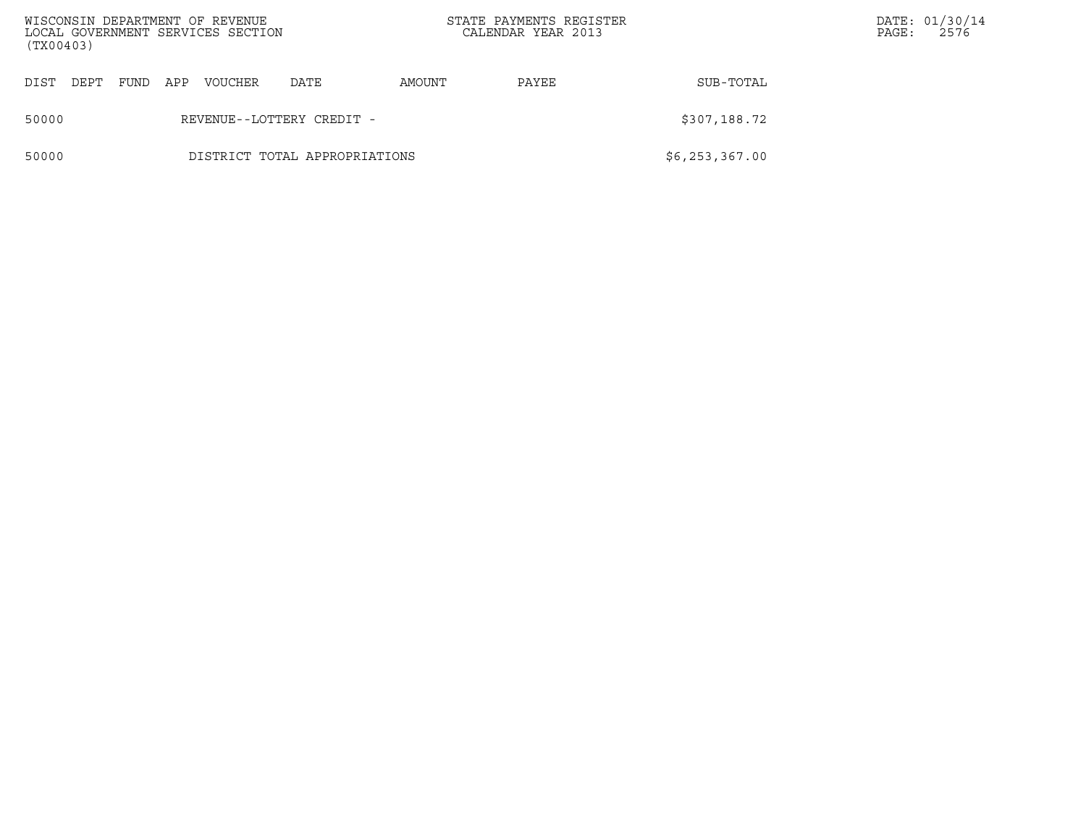| (TX00403) |                           |      |     | WISCONSIN DEPARTMENT OF REVENUE<br>LOCAL GOVERNMENT SERVICES SECTION |                               |        | STATE PAYMENTS REGISTER<br>CALENDAR YEAR 2013 |                | PAGE: | DATE: 01/30/14<br>2576 |
|-----------|---------------------------|------|-----|----------------------------------------------------------------------|-------------------------------|--------|-----------------------------------------------|----------------|-------|------------------------|
| DIST      | DEPT                      | FUND | APP | VOUCHER                                                              | DATE                          | AMOUNT | PAYEE                                         | SUB-TOTAL      |       |                        |
| 50000     | REVENUE--LOTTERY CREDIT - |      |     |                                                                      |                               |        |                                               | \$307,188.72   |       |                        |
| 50000     |                           |      |     |                                                                      | DISTRICT TOTAL APPROPRIATIONS |        |                                               | \$6,253,367.00 |       |                        |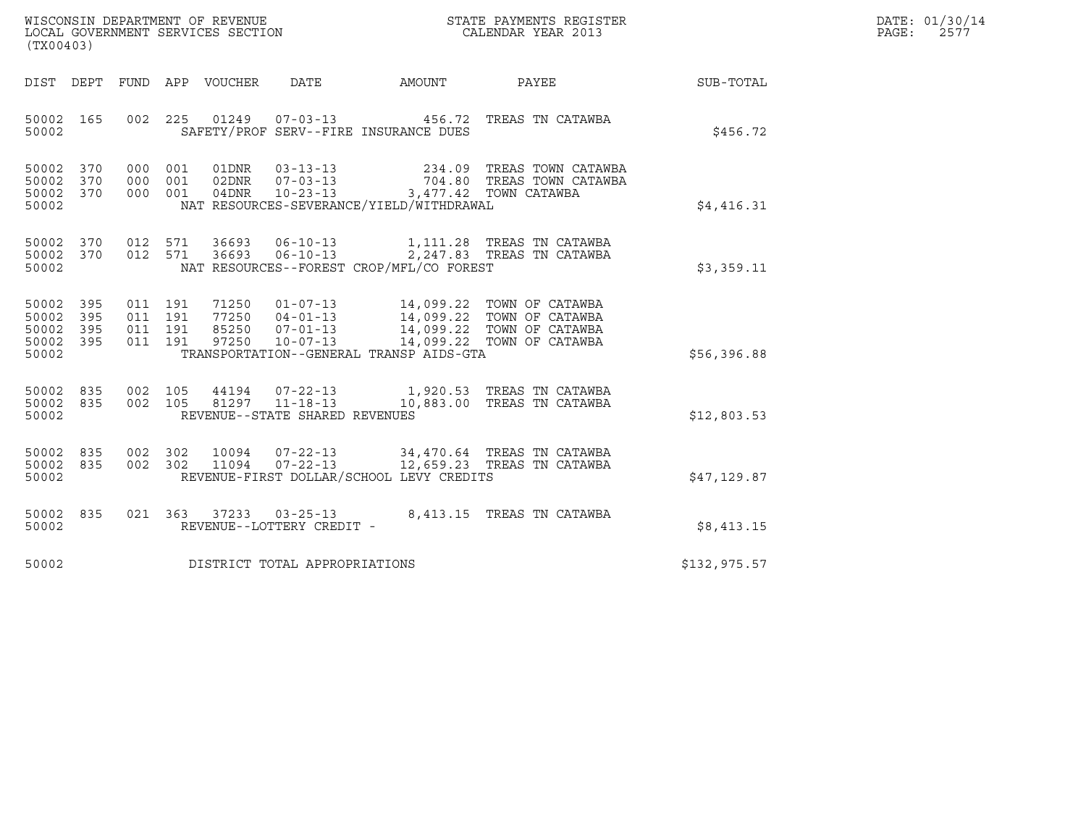| WISCONSIN DEPARTMENT OF REVENUE   | STATE PAYMENTS REGISTER | DATE: 01/30/14 |
|-----------------------------------|-------------------------|----------------|
| LOCAL GOVERNMENT SERVICES SECTION | CALENDAR YEAR 2013      | 2577<br>PAGE:  |

| WISCONSIN DEPARTMENT OF REVENUE ${\small \begin{array}{ll} \texttt{STATE} \texttt{PAYMENTS} \texttt{REGISTER} \\ \texttt{COLEDDAR} \texttt{YEAR} \texttt{N13} \end{array}}$<br>(TX00403) |  |  |  |  |                                     |                                          |                                                                                                                                                      |              | DATE: 01/30/14<br>PAGE:<br>2577 |
|------------------------------------------------------------------------------------------------------------------------------------------------------------------------------------------|--|--|--|--|-------------------------------------|------------------------------------------|------------------------------------------------------------------------------------------------------------------------------------------------------|--------------|---------------------------------|
|                                                                                                                                                                                          |  |  |  |  |                                     |                                          | DIST DEPT FUND APP VOUCHER DATE AMOUNT PAYEE PAYER SUB-TOTAL                                                                                         |              |                                 |
| 50002                                                                                                                                                                                    |  |  |  |  |                                     | SAFETY/PROF SERV--FIRE INSURANCE DUES    | 50002 165 002 225 01249 07-03-13 456.72 TREAS TN CATAWBA                                                                                             | \$456.72     |                                 |
| 50002 370<br>50002 370<br>50002 370<br>50002                                                                                                                                             |  |  |  |  |                                     | NAT RESOURCES-SEVERANCE/YIELD/WITHDRAWAL | 000 001 01DNR 03-13-13 234.09 TREAS TOWN CATAWBA<br>000 001 02DNR 07-03-13 704.80 TREAS TOWN CATAWBA<br>000 001 04DNR 10-23-13 3,477.42 TOWN CATAWBA | \$4,416.31   |                                 |
| 50002 370<br>50002 370<br>50002                                                                                                                                                          |  |  |  |  |                                     | NAT RESOURCES--FOREST CROP/MFL/CO FOREST | 012 571 36693 06-10-13 1,111.28 TREAS TN CATAWBA<br>012 571 36693 06-10-13 2,247.83 TREAS TN CATAWBA                                                 | \$3,359.11   |                                 |
| 50002 395<br>50002 395<br>50002 395<br>50002 395<br>50002                                                                                                                                |  |  |  |  |                                     | TRANSPORTATION--GENERAL TRANSP AIDS-GTA  |                                                                                                                                                      | \$56,396.88  |                                 |
| 50002                                                                                                                                                                                    |  |  |  |  | REVENUE--STATE SHARED REVENUES      |                                          | 50002 835 002 105 44194 07-22-13 1,920.53 TREAS TN CATAWBA<br>50002 835 002 105 81297 11-18-13 10,883.00 TREAS TN CATAWBA                            | \$12,803.53  |                                 |
| 50002                                                                                                                                                                                    |  |  |  |  |                                     | REVENUE-FIRST DOLLAR/SCHOOL LEVY CREDITS | 50002 835 002 302 10094 07-22-13 34,470.64 TREAS TN CATAWBA<br>50002 835 002 302 11094 07-22-13 12,659.23 TREAS TN CATAWBA                           | \$47,129.87  |                                 |
| 50002                                                                                                                                                                                    |  |  |  |  | REVENUE--LOTTERY CREDIT -           |                                          | 50002 835 021 363 37233 03-25-13 8,413.15 TREAS TN CATAWBA                                                                                           | \$8,413.15   |                                 |
|                                                                                                                                                                                          |  |  |  |  | 50002 DISTRICT TOTAL APPROPRIATIONS |                                          |                                                                                                                                                      | \$132,975.57 |                                 |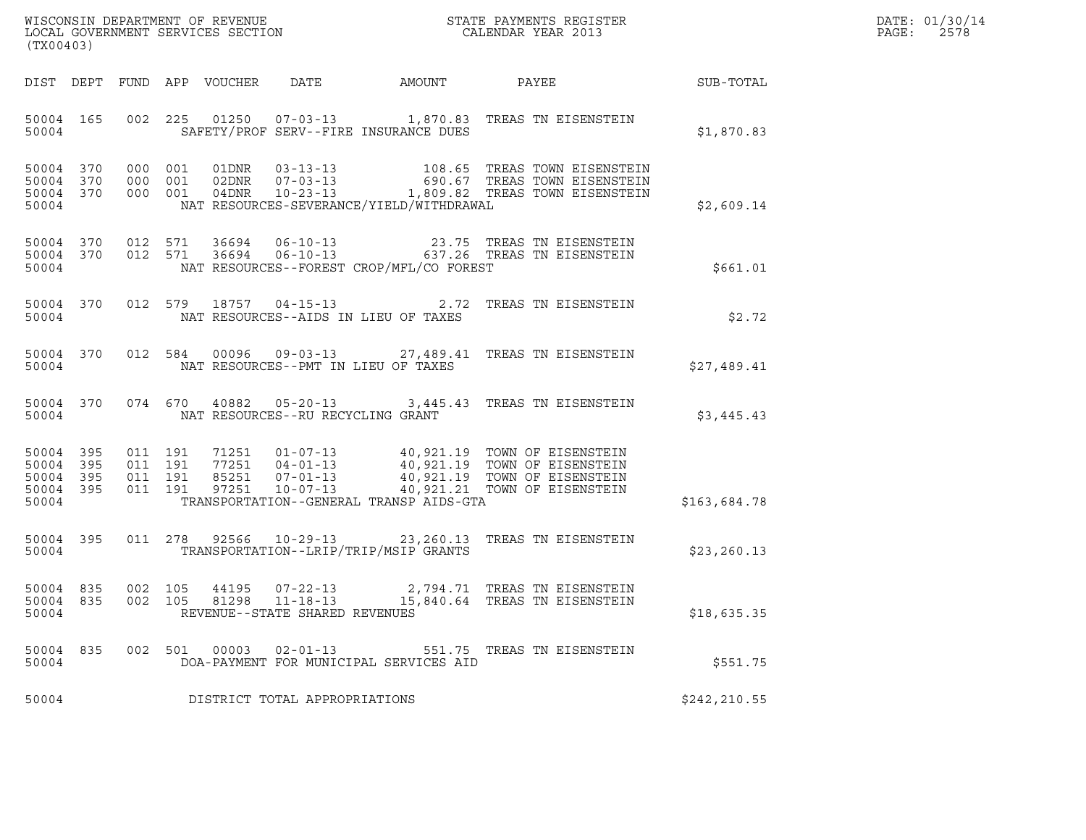| WISCONSIN DEPARTMENT OF REVENUE   | STATE PAYMENTS REGISTER | DATE: 01/30/14 |
|-----------------------------------|-------------------------|----------------|
| LOCAL GOVERNMENT SERVICES SECTION | CALENDAR YEAR 2013      | 2578<br>PAGE:  |

| (TX00403)          |                              |       |                                         |                                            | WISCONSIN DEPARTMENT OF REVENUE<br>LOCAL GOVERNMENT SERVICES SECTION TERM CALENDAR YEAR 2013                                                                                                                                                                                                               |              | DATE: 01/30/14<br>PAGE: 2578 |
|--------------------|------------------------------|-------|-----------------------------------------|--------------------------------------------|------------------------------------------------------------------------------------------------------------------------------------------------------------------------------------------------------------------------------------------------------------------------------------------------------------|--------------|------------------------------|
|                    |                              |       |                                         |                                            | DIST DEPT FUND APP VOUCHER DATE AMOUNT PAYEE THE SUB-TOTAL                                                                                                                                                                                                                                                 |              |                              |
| 50004              |                              |       |                                         | SAFETY/PROF SERV--FIRE INSURANCE DUES      | 50004 165 002 225 01250 07-03-13 1,870.83 TREAS TN EISENSTEIN                                                                                                                                                                                                                                              | \$1,870.83   |                              |
| 50004              |                              |       |                                         | NAT RESOURCES-SEVERANCE/YIELD/WITHDRAWAL   | 50004 370 000 001 01DNR 03-13-13 108.65 TREAS TOWN EISENSTEIN<br>50004 370 000 001 02DNR 07-03-13 690.67 TREAS TOWN EISENSTEIN<br>50004 370 000 001 04DNR 10-23-13 1,809.82 TREAS TOWN EISENSTEIN                                                                                                          | \$2,609.14   |                              |
| 50004              |                              |       |                                         | NAT RESOURCES--FOREST CROP/MFL/CO FOREST   | 50004 370 012 571 36694 06-10-13 23.75 TREAS TN EISENSTEIN<br>50004 370 012 571 36694 06-10-13 637.26 TREAS TN EISENSTEIN                                                                                                                                                                                  | \$661.01     |                              |
|                    |                              |       |                                         | 50004 NAT RESOURCES--AIDS IN LIEU OF TAXES | 50004 370 012 579 18757 04-15-13 2.72 TREAS TN EISENSTEIN                                                                                                                                                                                                                                                  | \$2.72       |                              |
|                    |                              |       |                                         | 50004 NAT RESOURCES--PMT IN LIEU OF TAXES  | 50004 370 012 584 00096 09-03-13 27,489.41 TREAS TN EISENSTEIN                                                                                                                                                                                                                                             | \$27,489.41  |                              |
|                    |                              |       | 50004 NAT RESOURCES--RU RECYCLING GRANT |                                            | 50004 370 074 670 40882 05-20-13 3,445.43 TREAS TN EISENSTEIN                                                                                                                                                                                                                                              | \$3,445.43   |                              |
| 50004              |                              |       |                                         | TRANSPORTATION--GENERAL TRANSP AIDS-GTA    | $\begin{tabular}{cccccc} 50004 & 395 & 011 & 191 & 71251 & 01-07-13 & 40,921.19 & TOWN OF EISENSTEIN \\ 50004 & 395 & 011 & 191 & 77251 & 04-01-13 & 40,921.19 & TOWN OF EISENSTEIN \\ 50004 & 395 & 011 & 191 & 85251 & 07-01-13 & 40,921.19 & TOWN OF EISENSTEIN \\ 50004 & 395 & 011 & 191 & 97251 & 1$ | \$163,684.78 |                              |
|                    |                              |       |                                         |                                            | 50004 395 011 278 92566 10-29-13 23,260.13 TREAS TN EISENSTEIN<br>50004 TRANSPORTATION--LRIP/TRIP/MSIP GRANTS                                                                                                                                                                                              | \$23, 260.13 |                              |
| 50004 835<br>50004 | 50004 835 002 105<br>002 105 |       | REVENUE--STATE SHARED REVENUES          |                                            | 44195   07-22-13   2,794.71   TREAS TN EISENSTEIN<br>81298   11-18-13   15,840.64   TREAS TN EISENSTEIN                                                                                                                                                                                                    | \$18,635.35  |                              |
| 50004 835<br>50004 | 002 501                      | 00003 | $02 - 01 - 13$                          | DOA-PAYMENT FOR MUNICIPAL SERVICES AID     | 551.75 TREAS TN EISENSTEIN                                                                                                                                                                                                                                                                                 | \$551.75     |                              |
| 50004              |                              |       | DISTRICT TOTAL APPROPRIATIONS           |                                            |                                                                                                                                                                                                                                                                                                            | \$242,210.55 |                              |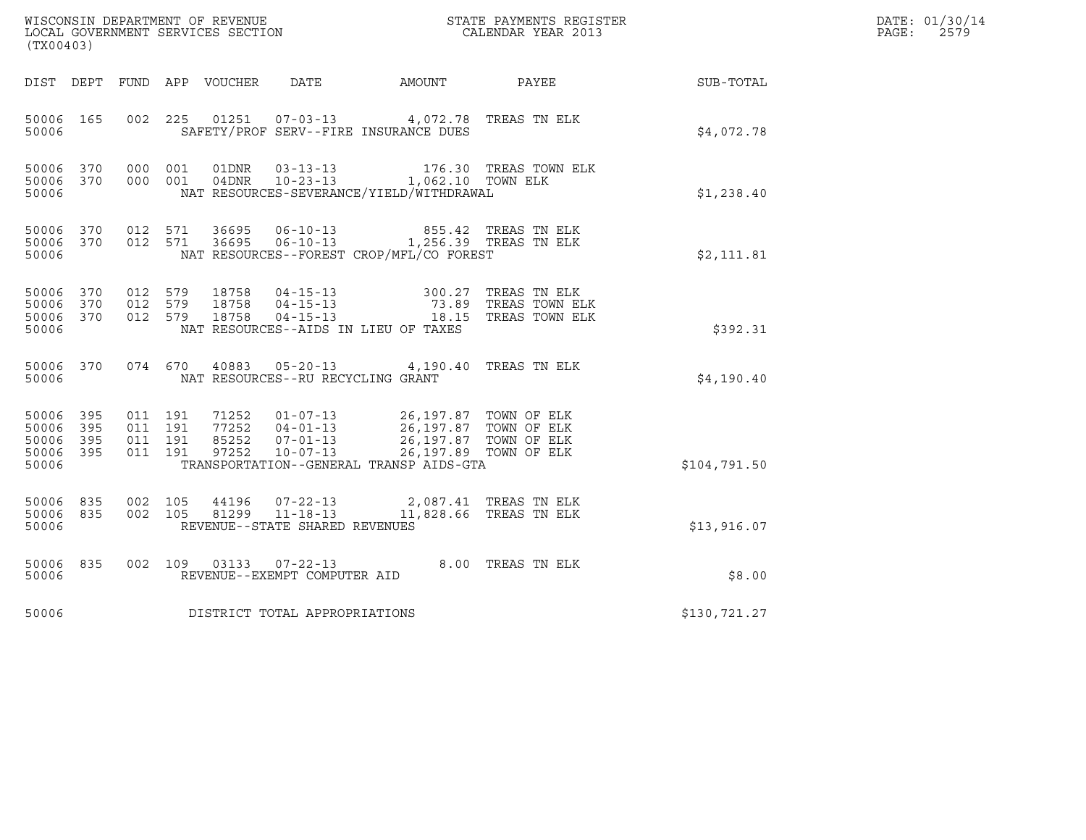| $\tt WISCONSIM DEPARTMENT OF REVENUE$ $\tt WISCONSIM EN THE RISTERLOCAL GOVERNMENT SERVICES SECTION CALENDAR YEAR 2013$<br>(TX00403) |            |                                          |  |       |                                                        |                                                                                                                                                                                                                                                                                                                                                                                                 |                       |                  | DATE: 01/30/14<br>$\mathtt{PAGE}$ :<br>2579 |
|--------------------------------------------------------------------------------------------------------------------------------------|------------|------------------------------------------|--|-------|--------------------------------------------------------|-------------------------------------------------------------------------------------------------------------------------------------------------------------------------------------------------------------------------------------------------------------------------------------------------------------------------------------------------------------------------------------------------|-----------------------|------------------|---------------------------------------------|
|                                                                                                                                      |            |                                          |  |       |                                                        | DIST DEPT FUND APP VOUCHER DATE AMOUNT PAYEE                                                                                                                                                                                                                                                                                                                                                    |                       | <b>SUB-TOTAL</b> |                                             |
| 50006 165<br>50006                                                                                                                   |            |                                          |  |       |                                                        | 002 225 01251 07-03-13 4,072.78 TREAS TN ELK<br>SAFETY/PROF SERV--FIRE INSURANCE DUES                                                                                                                                                                                                                                                                                                           |                       | \$4,072.78       |                                             |
| 50006 370<br>50006                                                                                                                   | 50006 370  | 000 001<br>000 001                       |  | 01DNR | $03 - 13 - 13$                                         | 04DNR  10-23-13  1,062.10 TOWN ELK<br>NAT RESOURCES-SEVERANCE/YIELD/WITHDRAWAL                                                                                                                                                                                                                                                                                                                  | 176.30 TREAS TOWN ELK | \$1,238.40       |                                             |
| 50006                                                                                                                                | 50006 370  | 50006 370 012 571<br>012 571             |  |       |                                                        | NAT RESOURCES--FOREST CROP/MFL/CO FOREST                                                                                                                                                                                                                                                                                                                                                        |                       | \$2,111.81       |                                             |
| 50006 370<br>50006 370<br>50006 370<br>50006                                                                                         |            | 012 579<br>012 579<br>012 579            |  |       |                                                        | 18758   04-15-13   300.27 TREAS TN ELK<br>18758   04-15-13   73.89 TREAS TOWN ELK<br>18758   04-15-13   18.15 TREAS TOWN ELK<br>NAT RESOURCES--AIDS IN LIEU OF TAXES                                                                                                                                                                                                                            |                       | \$392.31         |                                             |
| 50006 370<br>50006                                                                                                                   |            | 074 670                                  |  |       | NAT RESOURCES--RU RECYCLING GRANT                      | 40883  05-20-13  4,190.40 TREAS TN ELK                                                                                                                                                                                                                                                                                                                                                          |                       | \$4,190.40       |                                             |
| 50006 395<br>50006<br>50006<br>50006 395<br>50006                                                                                    | 395<br>395 | 011 191<br>011 191<br>011 191<br>011 191 |  |       |                                                        | $\begin{array}{cccc} 71252 & 01\hbox{-}07\hbox{-}13 & 26\hbox{/}197\hbox{-}87 & \text{TOMN OF ELK} \\ 77252 & 04\hbox{-}01\hbox{-}13 & 26\hbox{/}197\hbox{-}87 & \text{TOMN OF ELK} \\ 85252 & 07\hbox{-}01\hbox{-}13 & 26\hbox{/}197\hbox{-}87 & \text{TOMN OF ELK} \\ 97252 & 10\hbox{-}07\hbox{-}13 & 26\hbox{/}197\hbox{-}89 & \text{TOMN OF EL$<br>TRANSPORTATION--GENERAL TRANSP AIDS-GTA |                       | \$104,791.50     |                                             |
| 50006 835<br>50006 835<br>50006                                                                                                      |            | 002 105<br>002 105                       |  |       | REVENUE--STATE SHARED REVENUES                         | $\begin{array}{cccc} 44196 & 07-22-13 & 2,087.41 & \text{TREAS TN ELK} \\ 81299 & 11-18-13 & 11,828.66 & \text{TREAS TN ELK} \end{array}$                                                                                                                                                                                                                                                       |                       | \$13,916.07      |                                             |
| 50006 835<br>50006                                                                                                                   |            |                                          |  |       | 002 109 03133 07-22-13<br>REVENUE--EXEMPT COMPUTER AID |                                                                                                                                                                                                                                                                                                                                                                                                 | 8.00 TREAS TN ELK     | \$8.00           |                                             |
| 50006                                                                                                                                |            |                                          |  |       | DISTRICT TOTAL APPROPRIATIONS                          |                                                                                                                                                                                                                                                                                                                                                                                                 |                       | \$130,721.27     |                                             |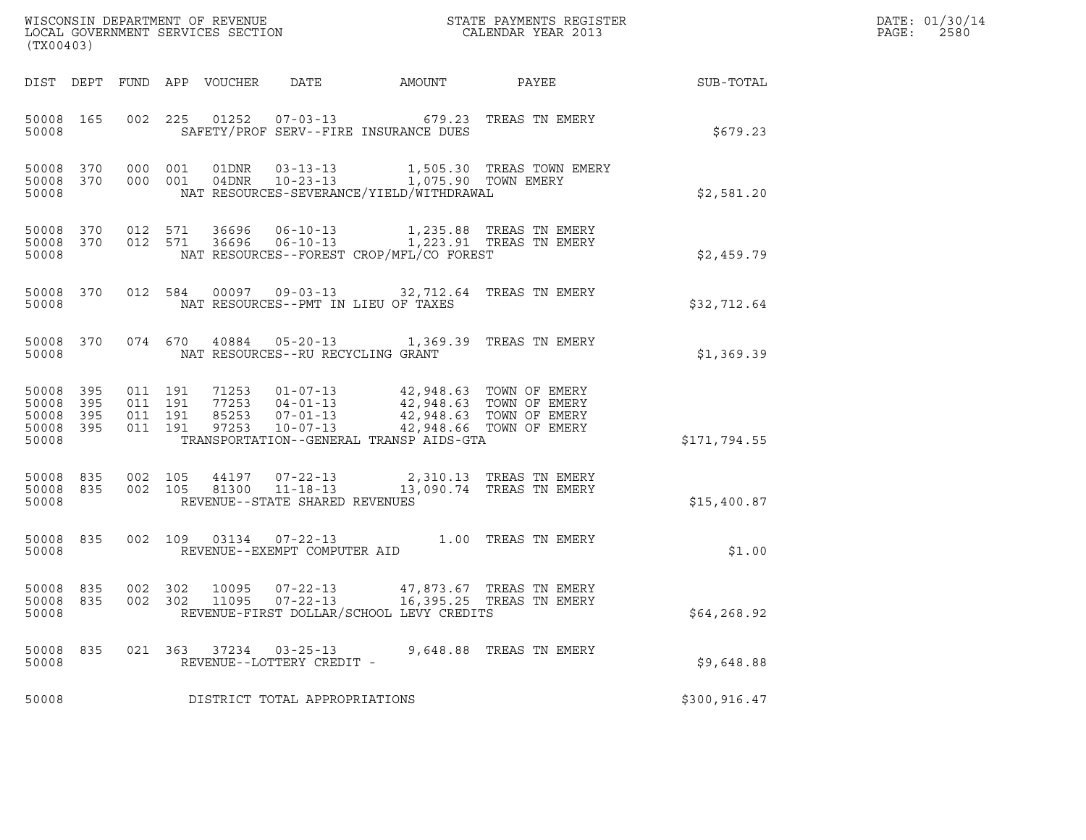| (TX00403)                                         |                        |                                          |         |                            |                                                     |                                                                                                                                                                                                                            |                         |                  | DATE: 01/30/14<br>PAGE:<br>2580 |
|---------------------------------------------------|------------------------|------------------------------------------|---------|----------------------------|-----------------------------------------------------|----------------------------------------------------------------------------------------------------------------------------------------------------------------------------------------------------------------------------|-------------------------|------------------|---------------------------------|
|                                                   |                        |                                          |         | DIST DEPT FUND APP VOUCHER |                                                     | DATE AMOUNT PAYEE                                                                                                                                                                                                          |                         | <b>SUB-TOTAL</b> |                                 |
| 50008 165<br>50008                                |                        |                                          |         |                            |                                                     | 002 225 01252 07-03-13 679.23 TREAS TN EMERY<br>SAFETY/PROF SERV--FIRE INSURANCE DUES                                                                                                                                      |                         | \$679.23         |                                 |
| 50008                                             | 50008 370              | 50008 370 000 001<br>000 001             |         |                            |                                                     | NAT RESOURCES-SEVERANCE/YIELD/WITHDRAWAL                                                                                                                                                                                   |                         | \$2,581.20       |                                 |
| 50008                                             | 50008 370<br>50008 370 | 012 571                                  | 012 571 |                            |                                                     | NAT RESOURCES--FOREST CROP/MFL/CO FOREST                                                                                                                                                                                   |                         | \$2,459.79       |                                 |
| 50008                                             | 50008 370              |                                          |         |                            |                                                     | 012 584 00097 09-03-13 32,712.64 TREAS TN EMERY<br>NAT RESOURCES--PMT IN LIEU OF TAXES                                                                                                                                     |                         | \$32,712.64      |                                 |
| 50008                                             |                        |                                          |         |                            | NAT RESOURCES--RU RECYCLING GRANT                   | 50008 370 074 670 40884 05-20-13 1,369.39 TREAS TN EMERY                                                                                                                                                                   |                         | \$1,369.39       |                                 |
| 50008 395<br>50008<br>50008<br>50008 395<br>50008 | 395<br>395             | 011 191<br>011 191<br>011 191<br>011 191 |         |                            |                                                     | 1253  01-07-13  42,948.63  TOWN OF EMERY<br>77253  04-01-13  42,948.63  TOWN OF EMERY<br>85253  07-01-13  42,948.63  TOWN OF EMERY<br>97253  10-07-13  42,948.66  TOWN OF EMERY<br>TRANSPORTATION--GENERAL TRANSP AIDS-GTA |                         | \$171,794.55     |                                 |
| 50008 835<br>50008 835<br>50008                   |                        | 002 105<br>002 105                       |         |                            | REVENUE--STATE SHARED REVENUES                      | 44197  07-22-13  2,310.13  TREAS TN EMERY<br>81300  11-18-13  13,090.74  TREAS TN EMERY                                                                                                                                    |                         | \$15,400.87      |                                 |
| 50008                                             | 50008 835              |                                          |         |                            | REVENUE--EXEMPT COMPUTER AID                        | 002 109 03134 07-22-13 1.00 TREAS TN EMERY                                                                                                                                                                                 |                         | \$1.00           |                                 |
| 50008 835<br>50008 835<br>50008                   |                        |                                          |         |                            |                                                     | 002 302 10095 07-22-13 47,873.67 TREAS TN EMERY<br>002 302 11095 07-22-13 16,395.25 TREAS TN EMERY<br>REVENUE-FIRST DOLLAR/SCHOOL LEVY CREDITS                                                                             |                         | \$64, 268.92     |                                 |
| 50008 835<br>50008                                |                        |                                          |         |                            | 021 363 37234 03-25-13<br>REVENUE--LOTTERY CREDIT - |                                                                                                                                                                                                                            | 9,648.88 TREAS TN EMERY | \$9,648.88       |                                 |
| 50008                                             |                        |                                          |         |                            | DISTRICT TOTAL APPROPRIATIONS                       |                                                                                                                                                                                                                            |                         | \$300, 916.47    |                                 |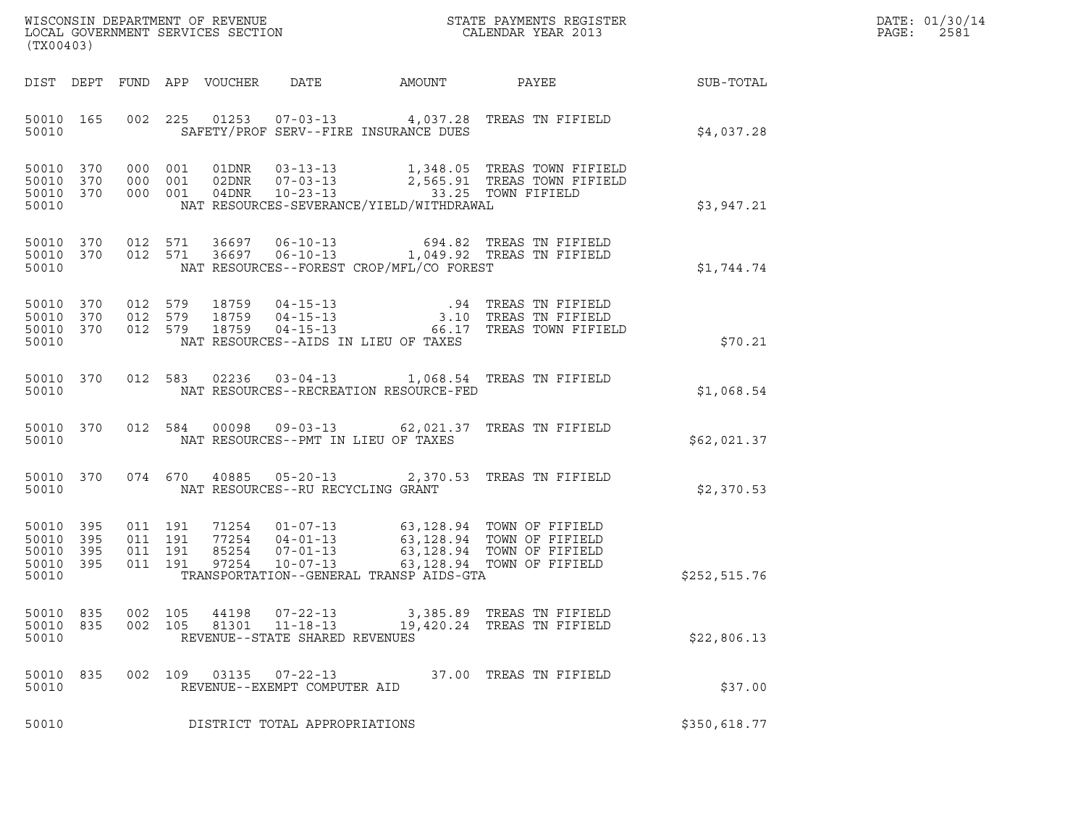| WISCONSIN DEPARTMENT OF REVENUE   | STATE PAYMENTS REGISTER | DATE: 01/30/14 |
|-----------------------------------|-------------------------|----------------|
| LOCAL GOVERNMENT SERVICES SECTION | CALENDAR YEAR 2013      | 2581<br>PAGE:  |

| WISCONSIN DEPARTMENT OF REVENUE<br>LOCAL GOVERNMENT SERVICES SECTION TERM CALENDAR YEAR 2013<br>(TX00403) |           |            |            |                |                                                                    |                                          |                                                                                                                                                                                                              |              | DATE: 01/30/14<br>PAGE: 2581 |
|-----------------------------------------------------------------------------------------------------------|-----------|------------|------------|----------------|--------------------------------------------------------------------|------------------------------------------|--------------------------------------------------------------------------------------------------------------------------------------------------------------------------------------------------------------|--------------|------------------------------|
|                                                                                                           |           |            |            |                |                                                                    |                                          | DIST DEPT FUND APP VOUCHER DATE AMOUNT PAYEE TO SUB-TOTAL                                                                                                                                                    |              |                              |
| 50010                                                                                                     | 50010 165 |            |            |                |                                                                    | SAFETY/PROF SERV--FIRE INSURANCE DUES    | 002 225 01253 07-03-13 4,037.28 TREAS TN FIFIELD                                                                                                                                                             | \$4,037.28   |                              |
| 50010 370<br>50010 370<br>50010 370<br>50010                                                              |           |            |            |                |                                                                    | NAT RESOURCES-SEVERANCE/YIELD/WITHDRAWAL | 000 001 01DNR 03-13-13 1,348.05 TREAS TOWN FIFIELD<br>000 001 02DNR 07-03-13 2,565.91 TREAS TOWN FIFIELD<br>000 001 04DNR 10-23-13 33.25 TOWN FIFIELD                                                        | \$3,947.21   |                              |
| 50010                                                                                                     |           |            |            |                |                                                                    | NAT RESOURCES--FOREST CROP/MFL/CO FOREST | 50010 370 012 571 36697 06-10-13 694.82 TREAS TN FIFIELD<br>50010 370 012 571 36697 06-10-13 1,049.92 TREAS TN FIFIELD                                                                                       | \$1,744.74   |                              |
| 50010                                                                                                     |           |            |            |                |                                                                    | NAT RESOURCES--AIDS IN LIEU OF TAXES     | 50010 370 012 579 18759 04-15-13 .94 TREAS TN FIFIELD<br>50010 370 012 579 18759 04-15-13 3.10 TREAS TN FIFIELD<br>50010 370 012 579 18759 04-15-13 66.17 TREAS TOWN FIFIELD                                 | \$70.21      |                              |
| 50010                                                                                                     | 50010 370 |            |            |                |                                                                    | NAT RESOURCES--RECREATION RESOURCE-FED   | 012 583 02236 03-04-13 1,068.54 TREAS TN FIFIELD                                                                                                                                                             | \$1,068.54   |                              |
| 50010 370<br>50010                                                                                        |           |            |            |                |                                                                    | NAT RESOURCES--PMT IN LIEU OF TAXES      | 012 584 00098 09-03-13 62,021.37 TREAS TN FIFIELD                                                                                                                                                            | \$62,021.37  |                              |
| 50010 370<br>50010                                                                                        |           |            |            |                |                                                                    | NAT RESOURCES--RU RECYCLING GRANT        | 074 670 40885 05-20-13 2,370.53 TREAS TN FIFIELD                                                                                                                                                             | \$2,370.53   |                              |
| 50010 395<br>50010<br>50010 395<br>50010 395<br>50010                                                     | 395       |            |            |                |                                                                    | TRANSPORTATION--GENERAL TRANSP AIDS-GTA  | 011 191 71254 01-07-13 63,128.94 TOWN OF FIFIELD<br>011 191 77254 04-01-13 63,128.94 TOWN OF FIFIELD<br>011 191 85254 07-01-13 63,128.94 TOWN OF FIFIELD<br>011 191 97254 10-07-13 63,128.94 TOWN OF FIFIELD | \$252,515.76 |                              |
| 50010 835<br>50010 835<br>50010                                                                           |           | 002<br>002 | 105<br>105 | 44198<br>81301 | $07 - 22 - 13$<br>$11 - 18 - 13$<br>REVENUE--STATE SHARED REVENUES |                                          | 3,385.89 TREAS TN FIFIELD<br>19,420.24 TREAS TN FIFIELD                                                                                                                                                      | \$22,806.13  |                              |
| 50010 835<br>50010                                                                                        |           |            | 002 109    | 03135          | $07 - 22 - 13$<br>REVENUE--EXEMPT COMPUTER AID                     |                                          | 37.00 TREAS TN FIFIELD                                                                                                                                                                                       | \$37.00      |                              |
| 50010                                                                                                     |           |            |            |                | DISTRICT TOTAL APPROPRIATIONS                                      |                                          |                                                                                                                                                                                                              | \$350,618.77 |                              |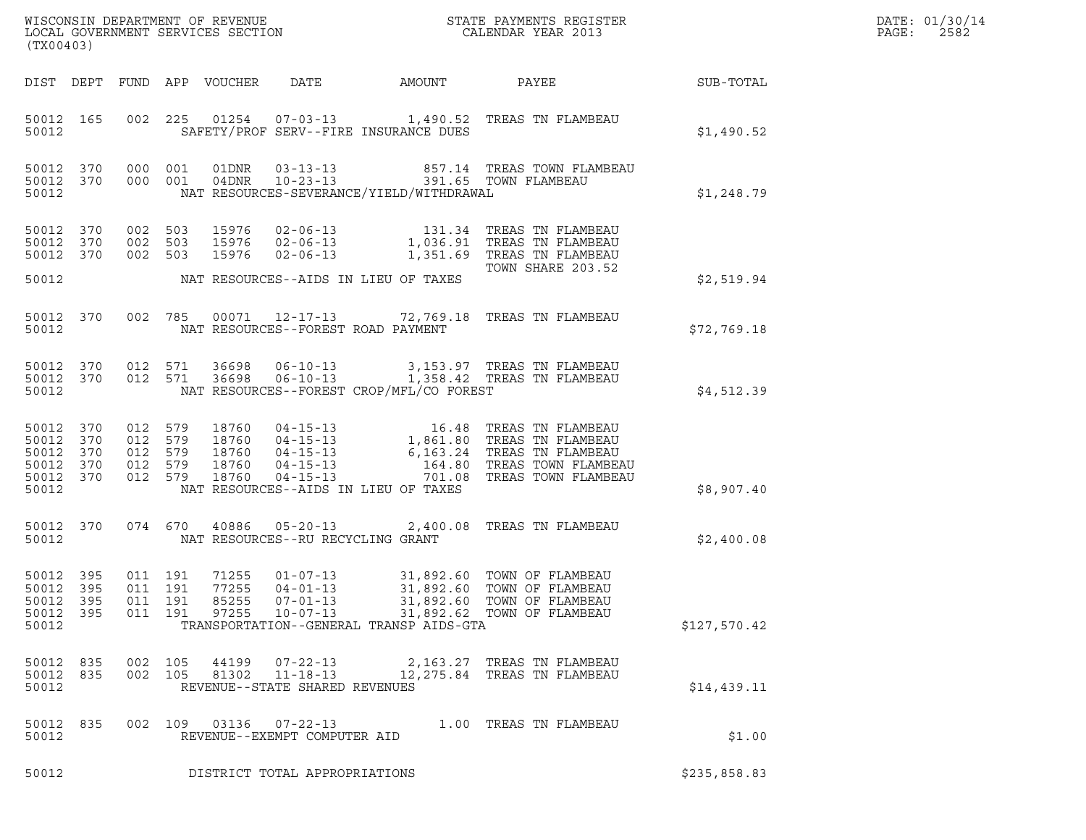| (TX00403)                                                 |                    |                                          |                |                                                                    |                                                | %WISCONSIN DEPARTMENT OF REVENUE $$\tt STATE$ PAYMENTS REGISTER LOCAL GOVERNMENT SERVICES SECTION $$\tt CALENDAR$ YEAR 2013                                                                                                            |              | DATE: 01/30/14<br>PAGE:<br>2582 |
|-----------------------------------------------------------|--------------------|------------------------------------------|----------------|--------------------------------------------------------------------|------------------------------------------------|----------------------------------------------------------------------------------------------------------------------------------------------------------------------------------------------------------------------------------------|--------------|---------------------------------|
|                                                           |                    |                                          |                |                                                                    |                                                | DIST DEPT FUND APP VOUCHER DATE AMOUNT PAYEE SUB-TOTAL                                                                                                                                                                                 |              |                                 |
| 50012                                                     | 50012 165          |                                          |                |                                                                    | SAFETY/PROF SERV--FIRE INSURANCE DUES          | 002 225 01254 07-03-13 1,490.52 TREAS TN FLAMBEAU                                                                                                                                                                                      | \$1,490.52   |                                 |
| 50012                                                     |                    |                                          |                |                                                                    | NAT RESOURCES-SEVERANCE/YIELD/WITHDRAWAL       | 50012 370 000 001 01DNR 03-13-13 857.14 TREAS TOWN FLAMBEAU<br>50012 370 000 001 04DNR 10-23-13 391.65 TOWN FLAMBEAU                                                                                                                   | \$1,248.79   |                                 |
|                                                           |                    |                                          |                |                                                                    |                                                | 9012 370 002 503 15976 02-06-13 131.34 TREAS TN FLAMBEAU<br>1,036.91 TREAS TN FLAMBEAU<br>1,036.91 TREAS TN FLAMBEAU<br>50012 370 002 503 15976 02-06-13 1,351.69 TREAS TN FLAMBEAU<br>1,351.69 TOWN SHARE 203.52<br>TOWN SHARE 203.52 |              |                                 |
|                                                           |                    |                                          |                |                                                                    | 50012 MAT RESOURCES--AIDS IN LIEU OF TAXES     |                                                                                                                                                                                                                                        | \$2,519.94   |                                 |
|                                                           | 50012 370<br>50012 |                                          |                |                                                                    | NAT RESOURCES--FOREST ROAD PAYMENT             | 002 785 00071 12-17-13 72,769.18 TREAS TN FLAMBEAU                                                                                                                                                                                     | \$72,769.18  |                                 |
|                                                           |                    |                                          |                |                                                                    | 50012 NAT RESOURCES--FOREST CROP/MFL/CO FOREST | 50012 370 012 571 36698 06-10-13 3,153.97 TREAS TN FLAMBEAU<br>50012 370 012 571 36698 06-10-13 1,358.42 TREAS TN FLAMBEAU                                                                                                             | \$4,512.39   |                                 |
| 50012 370<br>50012 370<br>50012 370<br>50012 370<br>50012 | 50012 370          |                                          |                |                                                                    | NAT RESOURCES--AIDS IN LIEU OF TAXES           | 012 579 18760 04-15-13 16.48 TREAS TN FLAMBEAU<br>012 579 18760 04-15-13 1,861.80 TREAS TN FLAMBEAU<br>012 579 18760 04-15-13 6,163.24 TREAS TN FLAMBEAU<br>012 579 18760 04-15-13 164.80 TREAS TOWN FLAMBEAU<br>012 579 18760 04-15-1 | \$8,907.40   |                                 |
|                                                           | 50012 370          |                                          |                |                                                                    | 50012 MAT RESOURCES--RU RECYCLING GRANT        | 074 670 40886 05-20-13 2,400.08 TREAS TN FLAMBEAU                                                                                                                                                                                      | \$2,400.08   |                                 |
| 50012 395<br>50012 395<br>50012 395<br>50012 395<br>50012 |                    | 011 191<br>011 191<br>011 191<br>011 191 | 85255<br>97255 | 07-01-13<br>$10 - 07 - 13$                                         | TRANSPORTATION--GENERAL TRANSP AIDS-GTA        | 71255  01-07-13  31,892.60  TOWN OF FLAMBEAU<br>77255  04-01-13  31,892.60  TOWN OF FLAMBEAU<br>31,892.60 TOWN OF FLAMBEAU<br>31,892.62 TOWN OF FLAMBEAU                                                                               | \$127,570.42 |                                 |
| 50012 835<br>50012 835<br>50012                           |                    | 002 105<br>002 105                       | 44199<br>81302 | $07 - 22 - 13$<br>$11 - 18 - 13$<br>REVENUE--STATE SHARED REVENUES |                                                | 2,163.27 TREAS TN FLAMBEAU<br>12,275.84 TREAS TN FLAMBEAU                                                                                                                                                                              | \$14,439.11  |                                 |
| 50012 835<br>50012                                        |                    |                                          |                | 002 109 03136 07-22-13<br>REVENUE--EXEMPT COMPUTER AID             |                                                | 1.00 TREAS TN FLAMBEAU                                                                                                                                                                                                                 | \$1.00       |                                 |
| 50012                                                     |                    |                                          |                | DISTRICT TOTAL APPROPRIATIONS                                      |                                                |                                                                                                                                                                                                                                        | \$235,858.83 |                                 |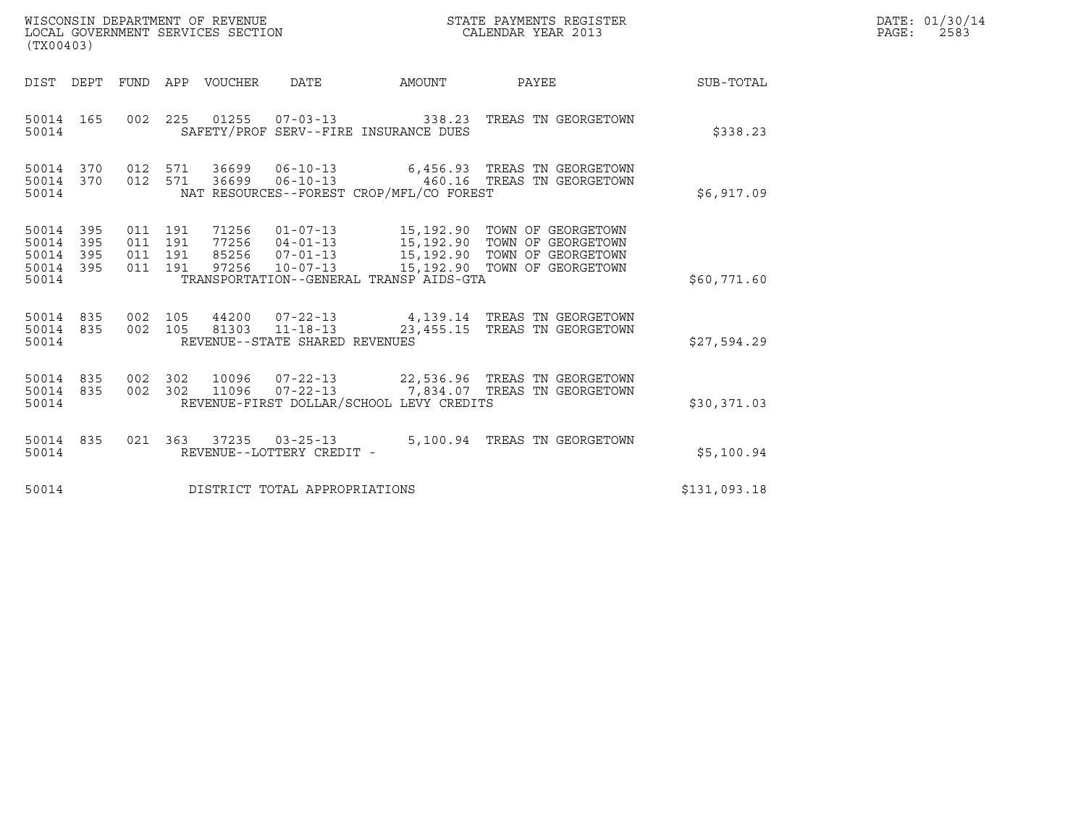| WISCONSIN DEPARTMENT OF REVENUE   | STATE PAYMENTS REGISTER | DATE: 01/30/14 |
|-----------------------------------|-------------------------|----------------|
| LOCAL GOVERNMENT SERVICES SECTION | CALENDAR YEAR 2013      | 2583<br>PAGE : |

| WISCONSIN DEPARTMENT OF REVENUE<br>LOCAL GOVERNMENT SERVICES SECTION<br>(TX00403) |  |  |  |  |                                |                                                | STATE PAYMENTS REGISTER<br>CALENDAR YEAR 2013                                                                                                                                                                            |              | DATE: 01/30/14<br>$\mathtt{PAGE}$ :<br>2583 |
|-----------------------------------------------------------------------------------|--|--|--|--|--------------------------------|------------------------------------------------|--------------------------------------------------------------------------------------------------------------------------------------------------------------------------------------------------------------------------|--------------|---------------------------------------------|
| DIST DEPT                                                                         |  |  |  |  |                                | FUND APP VOUCHER DATE AMOUNT                   | <b>PAYEE</b>                                                                                                                                                                                                             | SUB-TOTAL    |                                             |
| 50014 165<br>50014                                                                |  |  |  |  |                                | SAFETY/PROF SERV--FIRE INSURANCE DUES          | 002  225  01255  07-03-13  338.23  TREAS TN GEORGETOWN                                                                                                                                                                   | \$338.23     |                                             |
|                                                                                   |  |  |  |  |                                | 50014 NAT RESOURCES--FOREST CROP/MFL/CO FOREST | $\begin{array}{cccccc} 50014 & 370 & 012 & 571 & 36699 & 06-10-13 & & & 6,456.93 & \text{TREAS TN GEORGETOWN} \\ 50014 & 370 & 012 & 571 & 36699 & 06-10-13 & & & 460.16 & \text{TREAS TN GEORGETOWN} \end{array}$       | \$6,917.09   |                                             |
| 50014 395<br>50014 395<br>50014 395<br>50014 395<br>50014                         |  |  |  |  |                                | TRANSPORTATION--GENERAL TRANSP AIDS-GTA        | 011 191 71256 01-07-13 15,192.90 TOWN OF GEORGETOWN<br>011 191 77256 04-01-13 15,192.90 TOWN OF GEORGETOWN<br>011 191 85256 07-01-13 15,192.90 TOWN OF GEORGETOWN<br>011 191 97256 10-07-13 15,192.90 TOWN OF GEORGETOWN | \$60,771.60  |                                             |
| 50014 835<br>50014 835<br>50014                                                   |  |  |  |  | REVENUE--STATE SHARED REVENUES |                                                | 002 105 44200 07-22-13 4,139.14 TREAS TN GEORGETOWN<br>002 105 81303 11-18-13 23,455.15 TREAS TN GEORGETOWN                                                                                                              | \$27,594.29  |                                             |
| 50014 835<br>50014 835<br>50014                                                   |  |  |  |  |                                | REVENUE-FIRST DOLLAR/SCHOOL LEVY CREDITS       | 002 302 10096 07-22-13 22,536.96 TREAS TN GEORGETOWN<br>002 302 11096 07-22-13 7,834.07 TREAS TN GEORGETOWN                                                                                                              | \$30,371.03  |                                             |
| 50014 835<br>50014                                                                |  |  |  |  | REVENUE--LOTTERY CREDIT -      |                                                | 021 363 37235 03-25-13 5,100.94 TREAS TN GEORGETOWN                                                                                                                                                                      | \$5,100.94   |                                             |
| 50014                                                                             |  |  |  |  | DISTRICT TOTAL APPROPRIATIONS  |                                                |                                                                                                                                                                                                                          | \$131,093.18 |                                             |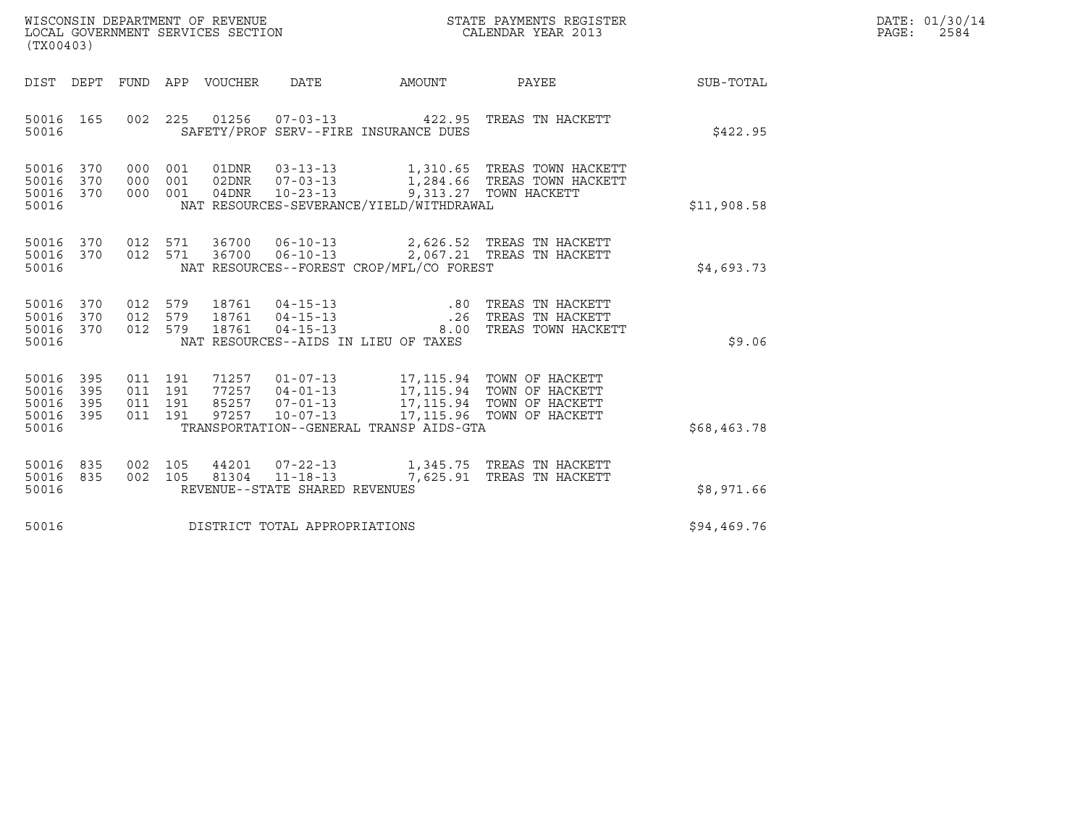| WISCONSIN DEPARTMENT OF REVENUE   | STATE PAYMENTS REGISTER | DATE: 01/30/14 |
|-----------------------------------|-------------------------|----------------|
| LOCAL GOVERNMENT SERVICES SECTION | CALENDAR YEAR 2013      | 2584<br>PAGE:  |

| ${\tt WISCOONSIM} \begin{tabular}{lcccc} DEPARTMENT OF REVENUE & & & & & & \begin{tabular}{l} \bf STATE \end{tabular} \end{tabular} \begin{tabular}{lcccc} \bf RTATE \end{tabular} \end{tabular} \begin{tabular}{lcccc} \bf RTATE \end{tabular} \end{tabular} \begin{tabular}{lcccc} \bf RTATE \end{tabular} \end{tabular} \begin{tabular}{lcccc} \bf RTATE \end{tabular} \end{tabular} \begin{tabular}{lcccc} \bf RTATE \end{tabular} \end{tabular} \begin{tabular}{lcccc} \bf RTATE \end{tabular} \end{tabular} \begin{tabular}{lcccc} \bf RTATE \end{$<br>(TX00403) |            |  |  |               |                                |                                                                            |                                                                                                                                                                                                                                                                                                                                                    |             | DATE: 01/30/14<br>2584<br>$\mathtt{PAGE}$ : |
|------------------------------------------------------------------------------------------------------------------------------------------------------------------------------------------------------------------------------------------------------------------------------------------------------------------------------------------------------------------------------------------------------------------------------------------------------------------------------------------------------------------------------------------------------------------------|------------|--|--|---------------|--------------------------------|----------------------------------------------------------------------------|----------------------------------------------------------------------------------------------------------------------------------------------------------------------------------------------------------------------------------------------------------------------------------------------------------------------------------------------------|-------------|---------------------------------------------|
|                                                                                                                                                                                                                                                                                                                                                                                                                                                                                                                                                                        |            |  |  |               |                                | DIST DEPT FUND APP VOUCHER DATE AMOUNT                                     | PAYEE                                                                                                                                                                                                                                                                                                                                              | SUB-TOTAL   |                                             |
| 50016                                                                                                                                                                                                                                                                                                                                                                                                                                                                                                                                                                  | 50016 165  |  |  |               |                                | SAFETY/PROF SERV--FIRE INSURANCE DUES                                      | 002 225 01256 07-03-13 422.95 TREAS TN HACKETT                                                                                                                                                                                                                                                                                                     | \$422.95    |                                             |
| 50016 370<br>50016<br>50016 370<br>50016                                                                                                                                                                                                                                                                                                                                                                                                                                                                                                                               | 370        |  |  | 000 001 04DNR |                                | 10-23-13 9,313.27 TOWN HACKETT<br>NAT RESOURCES-SEVERANCE/YIELD/WITHDRAWAL | 000 001 01DNR 03-13-13 1,310.65 TREAS TOWN HACKETT 000 001 02DNR 07-03-13 1,284.66 TREAS TOWN HACKETT                                                                                                                                                                                                                                              | \$11,908.58 |                                             |
| 50016 370<br>50016                                                                                                                                                                                                                                                                                                                                                                                                                                                                                                                                                     | 50016 370  |  |  |               |                                | NAT RESOURCES--FOREST CROP/MFL/CO FOREST                                   | 012 571 36700 06-10-13 2,626.52 TREAS TN HACKETT<br>012 571 36700 06-10-13 2,067.21 TREAS TN HACKETT                                                                                                                                                                                                                                               | \$4,693.73  |                                             |
| 50016 370<br>50016 370<br>50016 370<br>50016                                                                                                                                                                                                                                                                                                                                                                                                                                                                                                                           |            |  |  | 012 579 18761 |                                | NAT RESOURCES--AIDS IN LIEU OF TAXES                                       | 012 579 18761 04-15-13 .80 TREAS TN HACKETT<br>012 579 18761 04-15-13 .26 TREAS TN HACKETT<br>012 579 18761 04-15-13 .00 TREAS TOWN HACKET<br>8.00 TREAS TOWN HACKETT                                                                                                                                                                              | \$9.06      |                                             |
| 50016 395<br>50016<br>50016<br>50016 395<br>50016                                                                                                                                                                                                                                                                                                                                                                                                                                                                                                                      | 395<br>395 |  |  |               |                                | TRANSPORTATION--GENERAL TRANSP AIDS-GTA                                    | $\begin{array}{cccc} 011 & 191 & 71257 & 01\texttt{-}07\texttt{-}13 & 17,115.94 & \texttt{TOWN OF HACKETT} \\ 011 & 191 & 77257 & 04\texttt{-}01\texttt{-}13 & 17,115.94 & \texttt{TOWN OF HACKETT} \\ 011 & 191 & 85257 & 07\texttt{-}01\texttt{-}13 & 17,115.94 & \texttt{TOWN OF HACKETT} \\ 011 & 191 & 97257 & 10\texttt{-}07\texttt{-}13 & $ | \$68,463.78 |                                             |
| 50016 835<br>50016 835<br>50016                                                                                                                                                                                                                                                                                                                                                                                                                                                                                                                                        |            |  |  |               | REVENUE--STATE SHARED REVENUES |                                                                            | $\begin{array}{cccccc} 002 & 105 & 44201 & 07-22-13 & & 1,345.75 & \text{TREAS TN HACKETT} \\ 002 & 105 & 81304 & 11-18-13 & & 7,625.91 & \text{TREAS TN HACKETT} \end{array}$                                                                                                                                                                     | \$8,971.66  |                                             |
| 50016                                                                                                                                                                                                                                                                                                                                                                                                                                                                                                                                                                  |            |  |  |               | DISTRICT TOTAL APPROPRIATIONS  |                                                                            |                                                                                                                                                                                                                                                                                                                                                    | \$94,469.76 |                                             |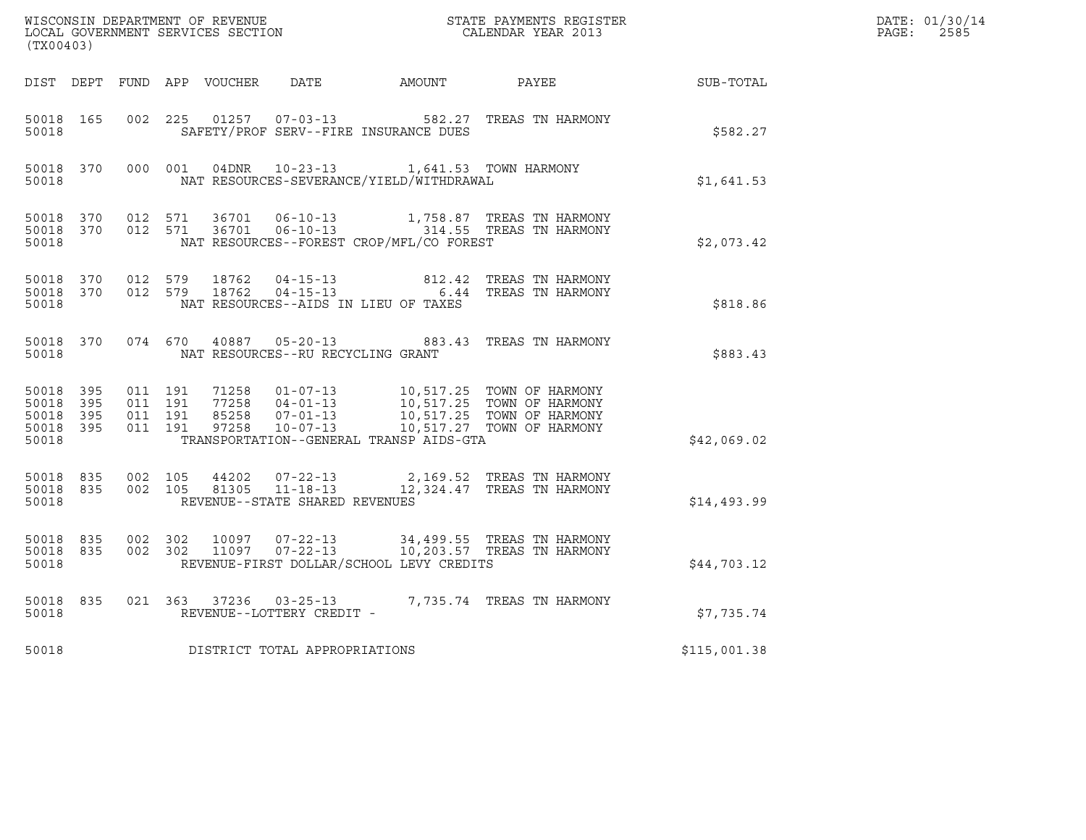| $\tt WISCONSIM DEPARTMENT OF REVENUE$ $\tt WISCONMIN SERS REGISTER$ $\tt LOCAL BODAR YEAR$ $2013$<br>(TX00403) |                        |                    |                    |  |                                   |                                                                                          |                                                                                                                                                                                           |                                                            | DATE: 01/30/14<br>PAGE:<br>2585 |
|----------------------------------------------------------------------------------------------------------------|------------------------|--------------------|--------------------|--|-----------------------------------|------------------------------------------------------------------------------------------|-------------------------------------------------------------------------------------------------------------------------------------------------------------------------------------------|------------------------------------------------------------|---------------------------------|
|                                                                                                                |                        |                    |                    |  |                                   |                                                                                          |                                                                                                                                                                                           | DIST DEPT FUND APP VOUCHER DATE AMOUNT PAYEE THE SUB-TOTAL |                                 |
| 50018 165<br>50018                                                                                             |                        | 002 225            |                    |  |                                   | SAFETY/PROF SERV--FIRE INSURANCE DUES                                                    | 01257  07-03-13  582.27  TREAS TN HARMONY                                                                                                                                                 | \$582.27                                                   |                                 |
| 50018                                                                                                          | 50018 370              |                    |                    |  |                                   | 000 001 04DNR 10-23-13 1,641.53 TOWN HARMONY<br>NAT RESOURCES-SEVERANCE/YIELD/WITHDRAWAL |                                                                                                                                                                                           | \$1,641.53                                                 |                                 |
| 50018                                                                                                          | 50018 370              | 50018 370 012 571  | 012 571            |  |                                   | NAT RESOURCES--FOREST CROP/MFL/CO FOREST                                                 | 36701  06-10-13   1,758.87 TREAS TN HARMONY<br>36701  06-10-13   314.55 TREAS TN HARMONY                                                                                                  | \$2,073.42                                                 |                                 |
| 50018                                                                                                          | 50018 370              | 50018 370 012 579  | 012 579            |  |                                   | NAT RESOURCES--AIDS IN LIEU OF TAXES                                                     | $18762 \t 04-15-13 \t 812.42 \t TREAS TN HARMONY18762 \t 04-15-13 \t 6.44 TREAS TN HARMONY$                                                                                               | \$818.86                                                   |                                 |
| 50018                                                                                                          | 50018 370              |                    |                    |  | NAT RESOURCES--RU RECYCLING GRANT |                                                                                          | 074 670 40887 05-20-13 883.43 TREAS TN HARMONY                                                                                                                                            | \$883.43                                                   |                                 |
| 50018 395<br>50018<br>50018 395<br>50018 395<br>50018                                                          | 395                    | 011 191<br>011 191 | 011 191<br>011 191 |  |                                   | TRANSPORTATION--GENERAL TRANSP AIDS-GTA                                                  | 71258  01-07-13  10,517.25  TOWN OF HARMONY<br>77258  04-01-13  10,517.25  TOWN OF HARMONY<br>85258  07-01-13  10,517.25  TOWN OF HARMONY<br>97258  10-07-13   10,517.27  TOWN OF HARMONY | \$42,069.02                                                |                                 |
| 50018 835<br>50018                                                                                             | 50018 835              | 002 105            | 002 105            |  | REVENUE--STATE SHARED REVENUES    |                                                                                          | 44202  07-22-13  2,169.52  TREAS TN HARMONY<br>81305  11-18-13  12,324.47  TREAS TN HARMONY                                                                                               | \$14,493.99                                                |                                 |
| 50018                                                                                                          | 50018 835<br>50018 835 |                    |                    |  |                                   | REVENUE-FIRST DOLLAR/SCHOOL LEVY CREDITS                                                 |                                                                                                                                                                                           | \$44,703.12                                                |                                 |
| 50018                                                                                                          | 50018 835              |                    |                    |  | REVENUE--LOTTERY CREDIT -         |                                                                                          | 021 363 37236 03-25-13 7,735.74 TREAS TN HARMONY                                                                                                                                          | \$7,735.74                                                 |                                 |
| 50018                                                                                                          |                        |                    |                    |  | DISTRICT TOTAL APPROPRIATIONS     |                                                                                          |                                                                                                                                                                                           | \$115,001.38                                               |                                 |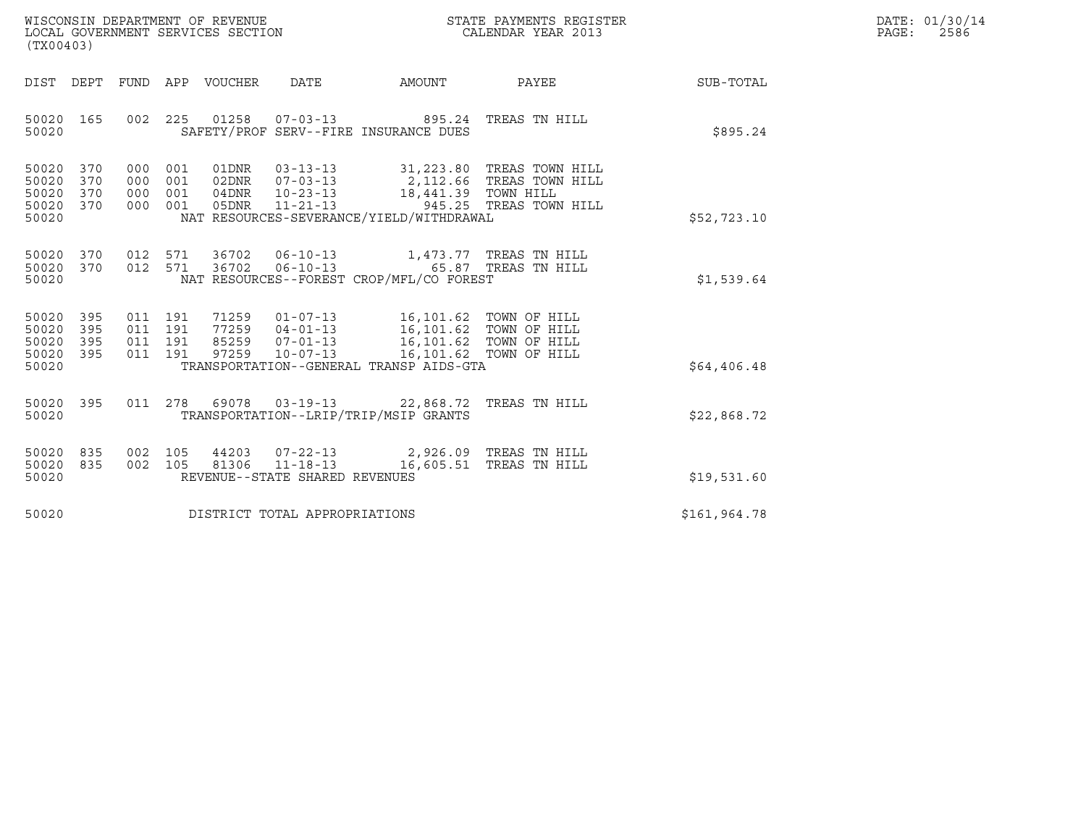| WISCONSIN DEPARTMENT OF REVENUE<br>LOCAL GOVERNMENT SERVICES SECTION<br>(TX00403) | STATE PAYMENTS REGISTER<br>CALENDAR YEAR 2013 | DATE: 01/30/14<br>PAGE:<br>2586 |
|-----------------------------------------------------------------------------------|-----------------------------------------------|---------------------------------|

| (TX00403)                                                                                         |                                                                                                                                                                                                                              |                                 |                        |              |
|---------------------------------------------------------------------------------------------------|------------------------------------------------------------------------------------------------------------------------------------------------------------------------------------------------------------------------------|---------------------------------|------------------------|--------------|
| DIST DEPT                                                                                         | FUND APP VOUCHER DATE AMOUNT PAYEE                                                                                                                                                                                           |                                 |                        | SUB-TOTAL    |
| 165<br>002<br>50020<br>50020                                                                      | 225<br>SAFETY/PROF SERV--FIRE INSURANCE DUES                                                                                                                                                                                 |                                 |                        | \$895.24     |
| 50020<br>370<br>000<br>370<br>50020<br>000<br>50020<br>370<br>000<br>50020<br>370<br>000<br>50020 | 001<br>001<br>001<br>05DNR 11-21-13<br>001<br>NAT RESOURCES-SEVERANCE/YIELD/WITHDRAWAL                                                                                                                                       |                                 | 945.25 TREAS TOWN HILL | \$52,723.10  |
| 50020<br>370<br>50020<br>370<br>50020                                                             | 012 571<br>36702  06-10-13  65.87  TREAS TN HILL<br>012 571<br>NAT RESOURCES--FOREST CROP/MFL/CO FOREST                                                                                                                      |                                 |                        | \$1,539.64   |
| 50020<br>395<br>395<br>50020<br>50020<br>395<br>011<br>395<br>011<br>50020<br>50020               | 71259  01-07-13  16,101.62  TOWN OF HILL<br>011 191<br>77259  04-01-13   16,101.62   TOWN OF HILL<br>011 191<br>85259  07-01-13   16,101.62   TOWN OF HILL<br>191<br>191<br>97259<br>TRANSPORTATION--GENERAL TRANSP AIDS-GTA | 10-07-13 16,101.62 TOWN OF HILL |                        | \$64,406.48  |
| 395<br>50020<br>50020                                                                             | 011  278  69078  03-19-13  22,868.72  TREAS TN HILL<br>TRANSPORTATION--LRIP/TRIP/MSIP GRANTS                                                                                                                                 |                                 |                        | \$22,868.72  |
| 50020<br>835<br>002<br>50020<br>835<br>002<br>50020                                               | 105<br>105<br>REVENUE--STATE SHARED REVENUES                                                                                                                                                                                 |                                 |                        | \$19,531.60  |
| 50020                                                                                             | DISTRICT TOTAL APPROPRIATIONS                                                                                                                                                                                                |                                 |                        | \$161,964.78 |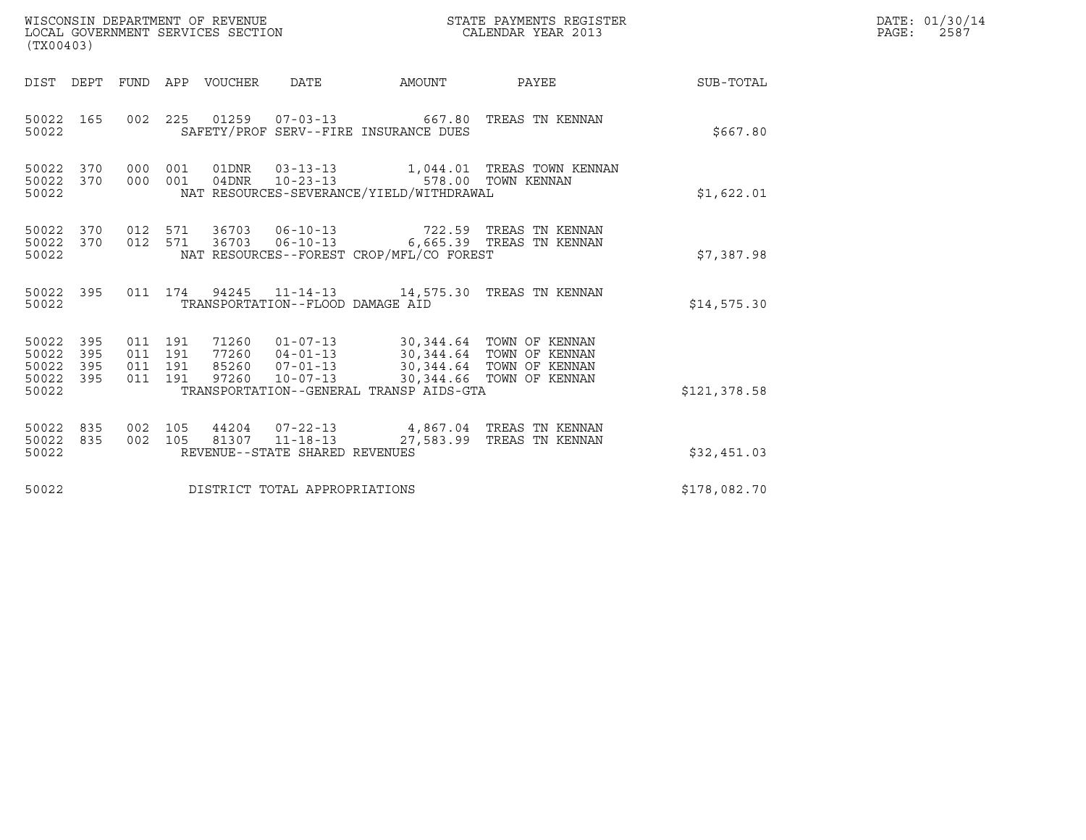| WISCONSIN DEPARTMENT OF REVENUE<br>LOCAL GOVERNMENT SERVICES SECTION<br>(TX00403) |                          |                                          |            |                                  |                                                                      | STATE PAYMENTS REGISTER<br>CALENDAR YEAR 2013                                                   |                                                        |              | DATE: 01/30/14<br>PAGE:<br>2587 |
|-----------------------------------------------------------------------------------|--------------------------|------------------------------------------|------------|----------------------------------|----------------------------------------------------------------------|-------------------------------------------------------------------------------------------------|--------------------------------------------------------|--------------|---------------------------------|
| DIST DEPT                                                                         |                          |                                          |            | FUND APP VOUCHER                 | <b>DATE</b>                                                          | AMOUNT                                                                                          | PAYEE                                                  | SUB-TOTAL    |                                 |
| 50022 165<br>50022                                                                |                          | 002 225                                  |            |                                  | 01259   07-03-13                                                     | SAFETY/PROF SERV--FIRE INSURANCE DUES                                                           | 667.80 TREAS TN KENNAN                                 | \$667.80     |                                 |
| 50022<br>50022 370<br>50022                                                       | 370                      | 000<br>000                               | 001<br>001 | 04DNR                            | $10 - 23 - 13$                                                       | NAT RESOURCES-SEVERANCE/YIELD/WITHDRAWAL                                                        | 1,044.01 TREAS TOWN KENNAN<br>578.00 TOWN KENNAN       | \$1,622.01   |                                 |
| 50022 370<br>50022<br>50022                                                       | 370                      | 012 571<br>012 571                       |            | 36703<br>36703                   | $06 - 10 - 13$<br>$06 - 10 - 13$                                     | NAT RESOURCES--FOREST CROP/MFL/CO FOREST                                                        | 722.59   TREAS  TN  KENNAN<br>6,665.39 TREAS TN KENNAN | \$7,387.98   |                                 |
| 50022 395<br>50022                                                                |                          | 011 174                                  |            |                                  | TRANSPORTATION--FLOOD DAMAGE AID                                     | 94245  11-14-13  14,575.30  TREAS TN KENNAN                                                     |                                                        | \$14,575.30  |                                 |
| 50022<br>50022<br>50022<br>50022<br>50022                                         | 395<br>395<br>395<br>395 | 011 191<br>011 191<br>011 191<br>011 191 |            | 71260<br>77260<br>85260<br>97260 | $01 - 07 - 13$<br>$04 - 01 - 13$<br>$07 - 01 - 13$<br>$10 - 07 - 13$ | 30,344.64 TOWN OF KENNAN<br>30,344.64 TOWN OF KENNAN<br>TRANSPORTATION--GENERAL TRANSP AIDS-GTA | 30,344.64 TOWN OF KENNAN<br>30,344.66 TOWN OF KENNAN   | \$121,378.58 |                                 |
| 50022<br>50022<br>50022                                                           | 835<br>835               | 002 105<br>002 105                       |            |                                  | 44204 07-22-13<br>81307 11-18-13<br>REVENUE--STATE SHARED REVENUES   |                                                                                                 | 4,867.04 TREAS TN KENNAN<br>27,583.99 TREAS TN KENNAN  | \$32,451.03  |                                 |
| 50022                                                                             |                          |                                          |            |                                  | DISTRICT TOTAL APPROPRIATIONS                                        |                                                                                                 |                                                        | \$178,082.70 |                                 |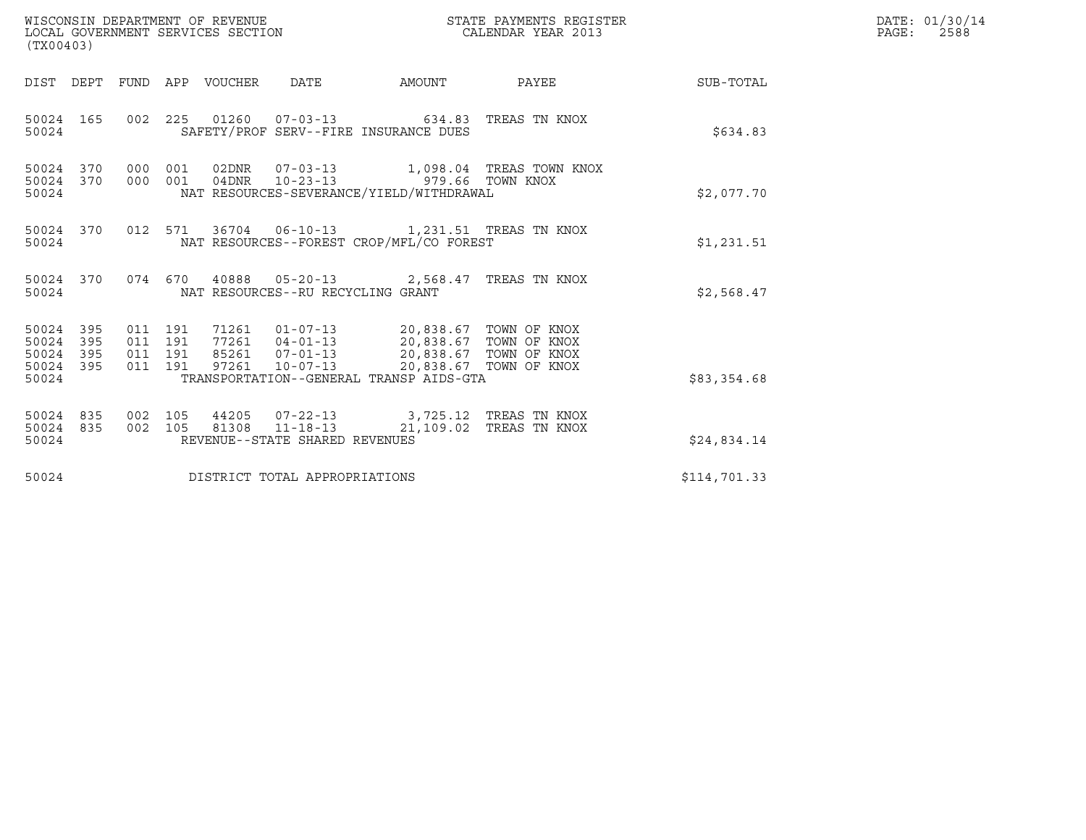| WISCONSIN DEPARTMENT OF REVENUE<br>LOCAL GOVERNMENT SERVICES SECTION<br>(TX00403) |                                          |       |                                                                                                                                                                                                                               | STATE PAYMENTS REGISTER<br>CALENDAR YEAR 2013 |                                           |              | DATE: 01/30/14<br>$\mathtt{PAGE:}$<br>2588 |
|-----------------------------------------------------------------------------------|------------------------------------------|-------|-------------------------------------------------------------------------------------------------------------------------------------------------------------------------------------------------------------------------------|-----------------------------------------------|-------------------------------------------|--------------|--------------------------------------------|
| DIST DEPT FUND APP VOUCHER DATE                                                   |                                          |       |                                                                                                                                                                                                                               |                                               |                                           |              |                                            |
| 50024 165<br>50024                                                                |                                          |       | 002 225 01260 07-03-13 634.83 TREAS TN KNOX<br>SAFETY/PROF SERV--FIRE INSURANCE DUES                                                                                                                                          |                                               |                                           | \$634.83     |                                            |
| 50024 370 000 001<br>50024 370<br>50024                                           | 000 001                                  |       | 04DNR  10-23-13  979.66  TOWN KNOX<br>NAT RESOURCES-SEVERANCE/YIELD/WITHDRAWAL                                                                                                                                                |                                               | 02DNR  07-03-13  1,098.04 TREAS TOWN KNOX | \$2,077.70   |                                            |
| 50024 370<br>50024                                                                |                                          |       | 012 571 36704 06-10-13 1,231.51 TREAS TN KNOX<br>NAT RESOURCES--FOREST CROP/MFL/CO FOREST                                                                                                                                     |                                               |                                           | \$1,231.51   |                                            |
| 50024                                                                             |                                          |       | 50024 370 074 670 40888 05-20-13 2,568.47 TREAS TN KNOX<br>NAT RESOURCES--RU RECYCLING GRANT                                                                                                                                  |                                               |                                           | \$2,568.47   |                                            |
| 50024 395<br>50024 395<br>50024<br>395<br>50024 395<br>50024                      | 011 191<br>011 191<br>011 191<br>011 191 |       | 71261   01-07-13   20,838.67   TOWN OF KNOX<br>77261   04-01-13   20,838.67   TOWN OF KNOX<br>85261  07-01-13  20,838.67  TOWN OF KNOX<br>97261  10-07-13  20,838.67  TOWN OF KNOX<br>TRANSPORTATION--GENERAL TRANSP AIDS-GTA |                                               |                                           | \$83,354.68  |                                            |
| 50024 835<br>50024 835<br>50024                                                   | 002 105<br>002 105                       | 81308 | 44205  07-22-13  3,725.12  TREAS TN KNOX<br>$11 - 18 - 13$<br>REVENUE--STATE SHARED REVENUES                                                                                                                                  |                                               | 21,109.02 TREAS TN KNOX                   | \$24,834.14  |                                            |
| 50024                                                                             |                                          |       | DISTRICT TOTAL APPROPRIATIONS                                                                                                                                                                                                 |                                               |                                           | \$114,701.33 |                                            |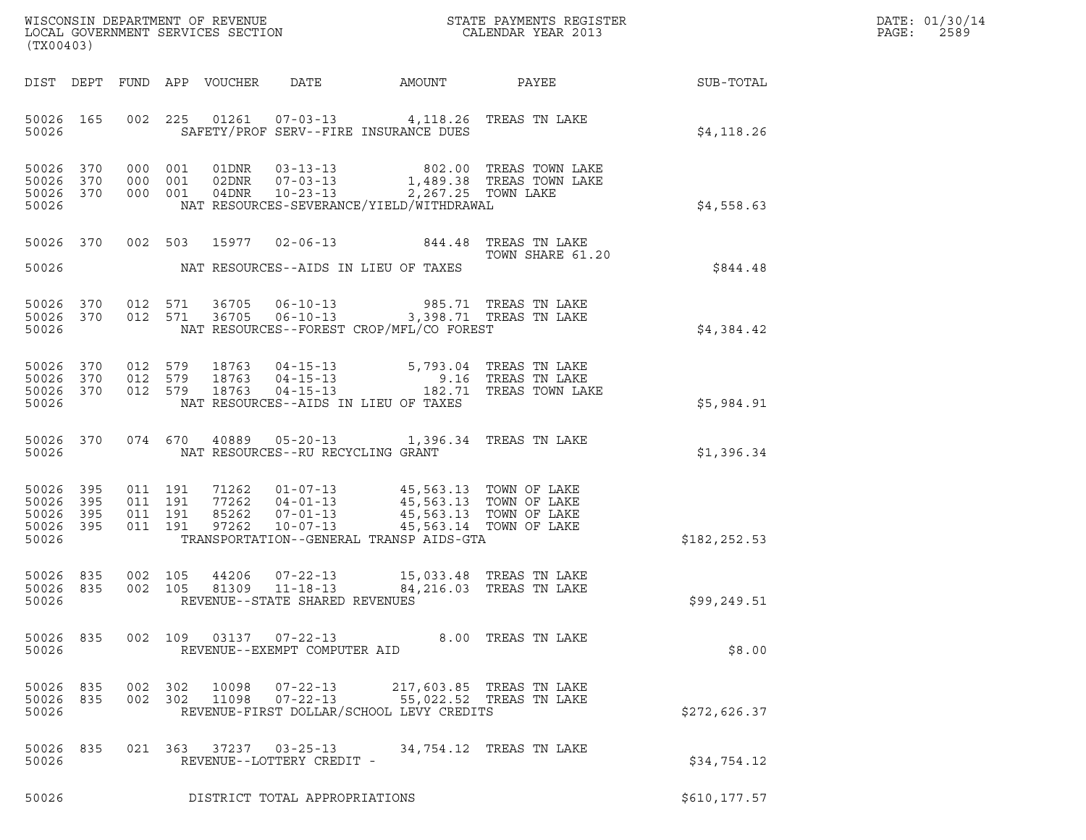| DATE: | 01/30/14 |
|-------|----------|
| PAGE: | 2589     |

| (TX00403)                                                 |  |  |                    |       |                                                     |                                                                                                                                                                                                                                                  |                                                                                                                                               |                                                        | DATE: 01/30/14<br>PAGE:<br>2589 |
|-----------------------------------------------------------|--|--|--------------------|-------|-----------------------------------------------------|--------------------------------------------------------------------------------------------------------------------------------------------------------------------------------------------------------------------------------------------------|-----------------------------------------------------------------------------------------------------------------------------------------------|--------------------------------------------------------|---------------------------------|
|                                                           |  |  |                    |       |                                                     |                                                                                                                                                                                                                                                  |                                                                                                                                               | DIST DEPT FUND APP VOUCHER DATE AMOUNT PAYEE SUB-TOTAL |                                 |
| 50026                                                     |  |  |                    |       |                                                     | 50026 165 002 225 01261 07-03-13 4,118.26 TREAS TN LAKE<br>SAFETY/PROF SERV--FIRE INSURANCE DUES                                                                                                                                                 |                                                                                                                                               | \$4,118.26                                             |                                 |
| 50026 370<br>50026 370<br>50026 370<br>50026              |  |  |                    |       |                                                     | NAT RESOURCES-SEVERANCE/YIELD/WITHDRAWAL                                                                                                                                                                                                         | 000 001 01DNR 03-13-13 802.00 TREAS TOWN LAKE<br>000 001 02DNR 07-03-13 1,489.38 TREAS TOWN LAKE<br>000 001 04DNR 10-23-13 2,267.25 TOWN LAKE | \$4,558.63                                             |                                 |
|                                                           |  |  |                    |       |                                                     | 50026 370 002 503 15977 02-06-13 844.48 TREAS TN LAKE<br>50026 NAT RESOURCES--AIDS IN LIEU OF TAXES                                                                                                                                              | TOWN SHARE 61.20                                                                                                                              | \$844.48                                               |                                 |
| 50026 370<br>50026 370<br>50026                           |  |  |                    |       |                                                     | 012 571 36705 06-10-13 985.71 TREAS TN LAKE<br>012 571 36705 06-10-13 3,398.71 TREAS TN LAKE<br>NAT RESOURCES--FOREST CROP/MFL/CO FOREST                                                                                                         |                                                                                                                                               | \$4,384.42                                             |                                 |
| 50026 370<br>50026 370<br>50026 370<br>50026              |  |  |                    |       |                                                     | NAT RESOURCES--AIDS IN LIEU OF TAXES                                                                                                                                                                                                             | 012 579 18763 04-15-13 5,793.04 TREAS TN LAKE<br>012 579 18763 04-15-13 9.16 TREAS TN LAKE<br>012 579 18763 04-15-13 182.71 TREAS TOWN LAKE   | \$5,984.91                                             |                                 |
|                                                           |  |  |                    |       |                                                     | 50026 370 074 670 40889 05-20-13 1,396.34 TREAS TN LAKE<br>50026 NAT RESOURCES--RU RECYCLING GRANT                                                                                                                                               |                                                                                                                                               | \$1,396.34                                             |                                 |
| 50026 395<br>50026 395<br>50026 395<br>50026 395<br>50026 |  |  |                    |       |                                                     | 011  191  71262  01-07-13  45,563.13  TOWN OF LAKE<br>011 191 77262 04-01-13 45,563.13 TOWN OF LAKE<br>011 191 85262 07-01-13 45,563.13 TOWN OF LAKE<br>011 191 97262 10-07-13 45,563.13 TOWN OF LAKE<br>TRANSPORTATION--GENERAL TRANSP AIDS-GTA |                                                                                                                                               | \$182,252.53                                           |                                 |
| 50026 835<br>50026 835<br>50026                           |  |  | 002 105<br>002 105 | 44206 | 81309 11-18-13<br>REVENUE--STATE SHARED REVENUES    | 07-22-13 15,033.48 TREAS TN LAKE                                                                                                                                                                                                                 | 84, 216.03 TREAS TN LAKE                                                                                                                      | \$99,249.51                                            |                                 |
| 50026 835<br>50026                                        |  |  |                    |       | REVENUE--EXEMPT COMPUTER AID                        | 002 109 03137 07-22-13 8.00 TREAS TN LAKE                                                                                                                                                                                                        |                                                                                                                                               | \$8.00                                                 |                                 |
| 50026 835<br>50026 835<br>50026                           |  |  |                    |       |                                                     | 002 302 10098 07-22-13 217,603.85 TREAS TN LAKE<br>002 302 11098 07-22-13 55,022.52 TREAS TN LAKE<br>REVENUE-FIRST DOLLAR/SCHOOL LEVY CREDITS                                                                                                    |                                                                                                                                               | \$272,626.37                                           |                                 |
| 50026 835<br>50026                                        |  |  |                    |       | 021 363 37237 03-25-13<br>REVENUE--LOTTERY CREDIT - |                                                                                                                                                                                                                                                  | 34,754.12 TREAS TN LAKE                                                                                                                       | \$34,754.12                                            |                                 |
| 50026                                                     |  |  |                    |       | DISTRICT TOTAL APPROPRIATIONS                       |                                                                                                                                                                                                                                                  |                                                                                                                                               | \$610,177.57                                           |                                 |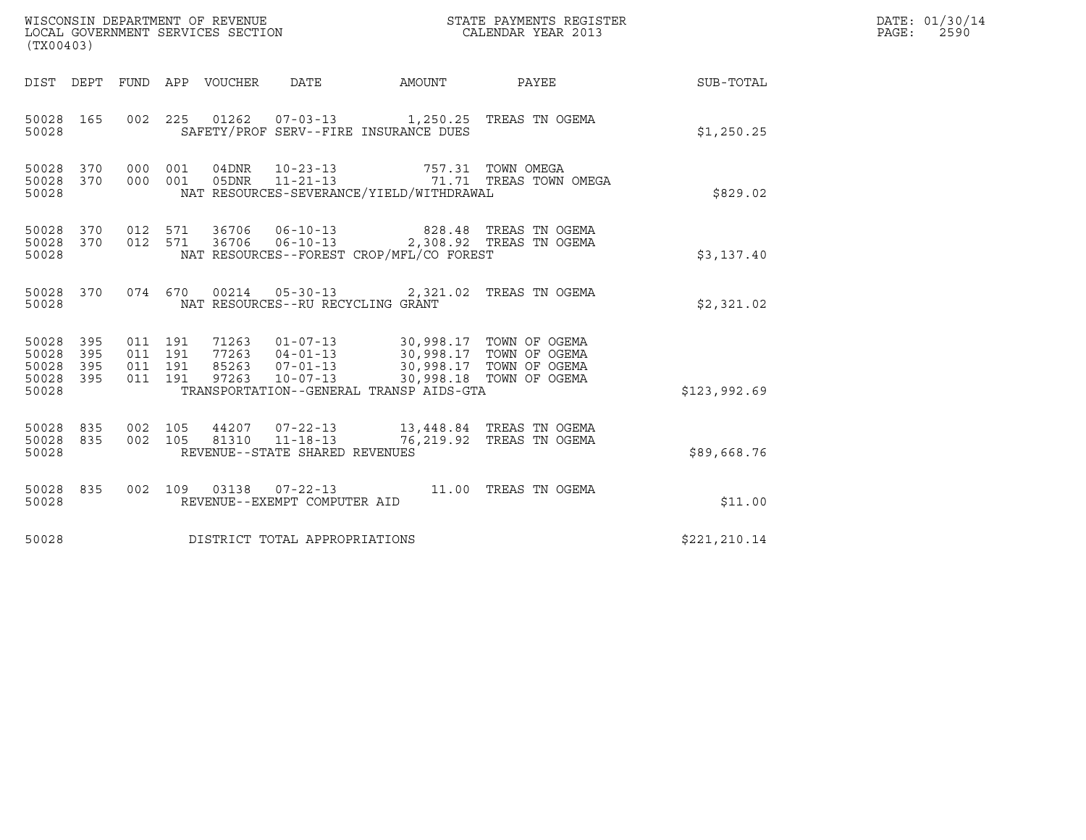| WISCONSIN DEPARTMENT OF REVENUE<br>LOCAL GOVERNMENT SERVICES SECTION<br>(TX00403) |                          |                                          |         |                       |                                                  |                                                                                                                                                                                                                             | STATE PAYMENTS REGISTER<br>CALENDAR YEAR 2013        |                  | DATE: 01/30/14<br>PAGE:<br>2590 |
|-----------------------------------------------------------------------------------|--------------------------|------------------------------------------|---------|-----------------------|--------------------------------------------------|-----------------------------------------------------------------------------------------------------------------------------------------------------------------------------------------------------------------------------|------------------------------------------------------|------------------|---------------------------------|
| DIST DEPT                                                                         |                          |                                          |         | FUND APP VOUCHER DATE |                                                  | AMOUNT                                                                                                                                                                                                                      | <b>PAYEE</b>                                         | <b>SUB-TOTAL</b> |                                 |
| 50028 165<br>50028                                                                |                          |                                          |         |                       |                                                  | 002 225 01262 07-03-13 1,250.25 TREAS TN OGEMA<br>SAFETY/PROF SERV--FIRE INSURANCE DUES                                                                                                                                     |                                                      | \$1,250.25       |                                 |
| 50028<br>50028<br>50028                                                           | 370<br>370               | 000 001<br>000 001                       |         | 05DNR                 | 04DNR 10-23-13                                   | NAT RESOURCES-SEVERANCE/YIELD/WITHDRAWAL                                                                                                                                                                                    | 757.31 TOWN OMEGA<br>11-21-13 71.71 TREAS TOWN OMEGA | \$829.02         |                                 |
| 50028<br>50028<br>50028                                                           | 370<br>370               | 012 571<br>012 571                       |         |                       |                                                  | 36706  06-10-13  828.48  TREAS TN OGEMA<br>36706  06-10-13  2,308.92  TREAS TN OGEMA<br>NAT RESOURCES--FOREST CROP/MFL/CO FOREST                                                                                            |                                                      | \$3,137.40       |                                 |
| 50028 370<br>50028                                                                |                          |                                          | 074 670 |                       | NAT RESOURCES--RU RECYCLING GRANT                | 00214  05-30-13  2,321.02  TREAS TN OGEMA                                                                                                                                                                                   |                                                      | \$2,321.02       |                                 |
| 50028<br>50028<br>50028<br>50028<br>50028                                         | 395<br>395<br>395<br>395 | 011 191<br>011 191<br>011 191<br>011 191 |         |                       |                                                  | 71263  01-07-13  30,998.17  TOWN OF OGEMA<br>77263  04-01-13  30,998.17  TOWN OF OGEMA<br>85263  07-01-13  30,998.17  TOWN OF OGEMA<br>97263  10-07-13  30,998.18  TOWN OF OGEMA<br>TRANSPORTATION--GENERAL TRANSP AIDS-GTA |                                                      | \$123,992.69     |                                 |
| 50028<br>50028<br>50028                                                           | 835<br>835               | 002 105<br>002 105                       |         |                       | 81310 11-18-13<br>REVENUE--STATE SHARED REVENUES | 44207 07-22-13 13,448.84 TREAS TN OGEMA                                                                                                                                                                                     | 76,219.92 TREAS TN OGEMA                             | \$89,668.76      |                                 |
| 50028 835<br>50028                                                                |                          |                                          |         |                       | REVENUE--EXEMPT COMPUTER AID                     | 002 109 03138 07-22-13 11.00 TREAS TN OGEMA                                                                                                                                                                                 |                                                      | \$11.00          |                                 |
| 50028                                                                             |                          |                                          |         |                       | DISTRICT TOTAL APPROPRIATIONS                    |                                                                                                                                                                                                                             |                                                      | \$221,210.14     |                                 |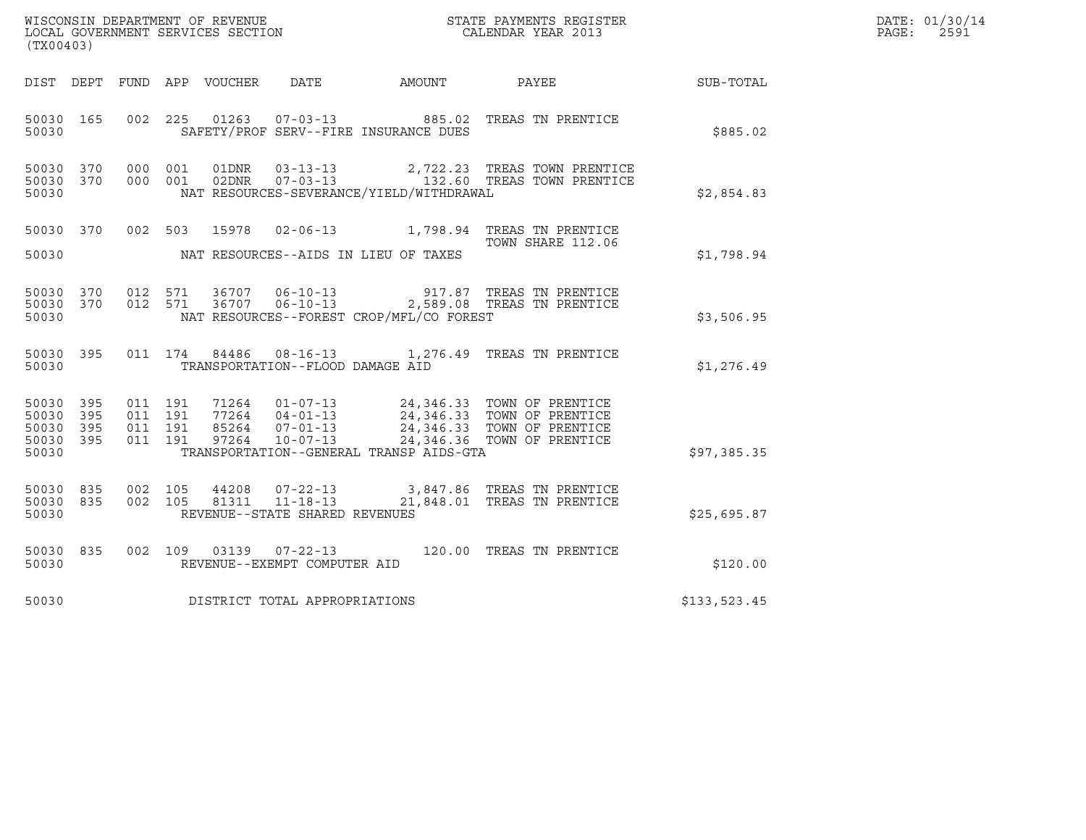| WISCONSIN DEPARTMENT OF REVENUE   | STATE PAYMENTS REGISTER | DATE: 01/30/14 |
|-----------------------------------|-------------------------|----------------|
| LOCAL GOVERNMENT SERVICES SECTION | CALENDAR YEAR 2013      | 2591<br>PAGE:  |

| WISCONSIN DEPARTMENT OF REVENUE<br>LOCAL GOVERNMENT SERVICES SECTION<br>CALENDAR YEAR 2013<br>(TX00403) |           |         |         |                         |                                  |                                          | DATE: 01/30/14<br>PAGE: 2591                                                                                                                                                                                                                                                                                             |              |  |
|---------------------------------------------------------------------------------------------------------|-----------|---------|---------|-------------------------|----------------------------------|------------------------------------------|--------------------------------------------------------------------------------------------------------------------------------------------------------------------------------------------------------------------------------------------------------------------------------------------------------------------------|--------------|--|
|                                                                                                         |           |         |         |                         |                                  |                                          | DIST DEPT FUND APP VOUCHER DATE AMOUNT PAYEE TO SUB-TOTAL                                                                                                                                                                                                                                                                |              |  |
| 50030                                                                                                   |           |         |         |                         |                                  | SAFETY/PROF SERV--FIRE INSURANCE DUES    | 50030 165 002 225 01263 07-03-13 885.02 TREAS TN PRENTICE                                                                                                                                                                                                                                                                | \$885.02     |  |
| 50030                                                                                                   | 50030 370 |         |         | 50030 370 000 001 01DNR |                                  | NAT RESOURCES-SEVERANCE/YIELD/WITHDRAWAL | 000 001 01DNR 03-13-13 2,722.23 TREAS TOWN PRENTICE<br>000 001 02DNR 07-03-13 132.60 TREAS TOWN PRENTICE                                                                                                                                                                                                                 | \$2,854.83   |  |
| 50030                                                                                                   |           |         |         | 50030 370 002 503 15978 |                                  | NAT RESOURCES--AIDS IN LIEU OF TAXES     | 02-06-13 1,798.94 TREAS TN PRENTICE<br>TOWN SHARE 112.06                                                                                                                                                                                                                                                                 | \$1,798.94   |  |
| 50030                                                                                                   |           |         |         |                         |                                  | NAT RESOURCES--FOREST CROP/MFL/CO FOREST | 50030 370 012 571 36707 06-10-13 917.87 TREAS TN PRENTICE<br>50030 370 012 571 36707 06-10-13 2,589.08 TREAS TN PRENTICE                                                                                                                                                                                                 | \$3,506.95   |  |
| 50030                                                                                                   | 50030 395 |         |         |                         | TRANSPORTATION--FLOOD DAMAGE AID |                                          | 011  174  84486  08-16-13   1,276.49  TREAS TN PRENTICE                                                                                                                                                                                                                                                                  | \$1,276.49   |  |
| 50030 395<br>50030 395<br>50030 395<br>50030                                                            | 50030 395 | 011 191 |         |                         |                                  | TRANSPORTATION--GENERAL TRANSP AIDS-GTA  | $\begin{array}{cccccc} 011 & 191 & 71264 & 01-07-13 & 24,346.33 & \text{TOWN OF PRENTICE} \\ 011 & 191 & 77264 & 04-01-13 & 24,346.33 & \text{TOWN OF PRENTICE} \\ 011 & 191 & 85264 & 07-01-13 & 24,346.33 & \text{TOWN OF PRENTICE} \\ 011 & 191 & 97264 & 10-07-13 & 24,346.36 & \text{TOWN OF PRENTICE} \end{array}$ | \$97,385.35  |  |
| 50030 835<br>50030                                                                                      | 50030 835 | 002 105 | 002 105 |                         | REVENUE--STATE SHARED REVENUES   |                                          | 44208  07-22-13  3,847.86 TREAS TN PRENTICE<br>81311  11-18-13  21,848.01 TREAS TN PRENTICE                                                                                                                                                                                                                              | \$25,695.87  |  |
| 50030                                                                                                   | 50030 835 |         |         |                         | REVENUE--EXEMPT COMPUTER AID     |                                          | 002 109 03139 07-22-13 120.00 TREAS TN PRENTICE                                                                                                                                                                                                                                                                          | \$120.00     |  |
| 50030                                                                                                   |           |         |         |                         | DISTRICT TOTAL APPROPRIATIONS    |                                          |                                                                                                                                                                                                                                                                                                                          | \$133,523.45 |  |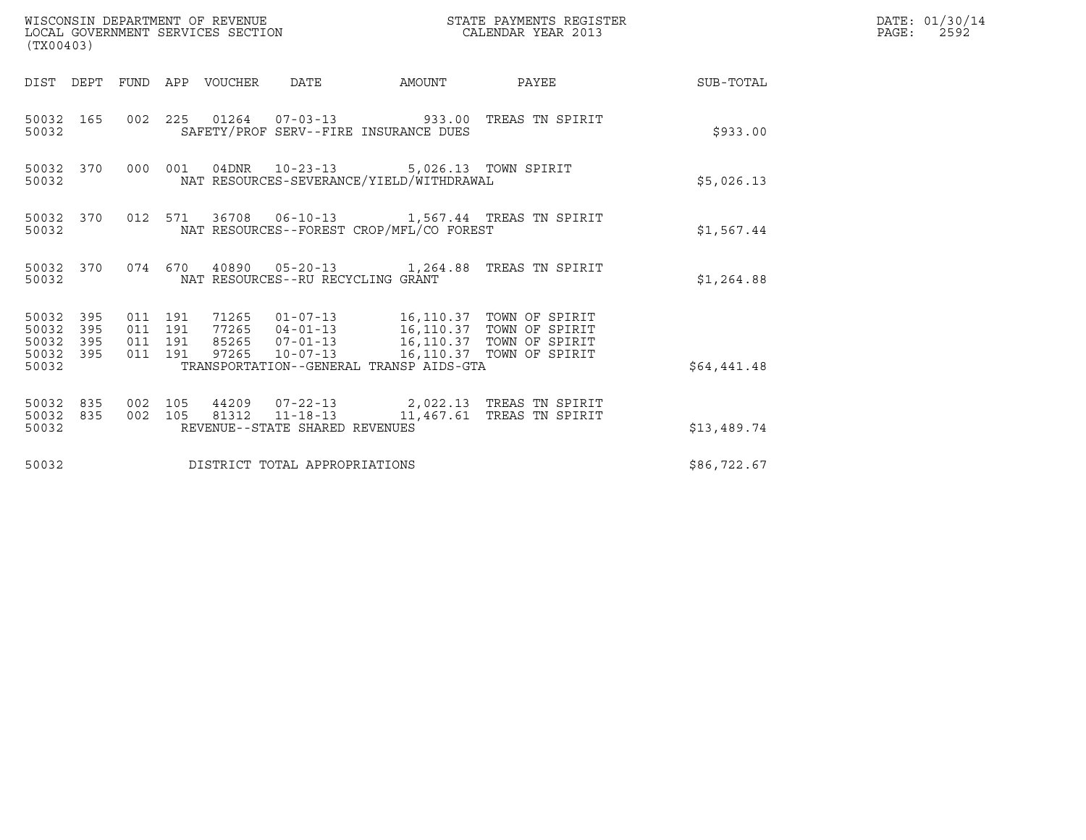| WISCONSIN DEPARTMENT OF REVENUE<br>LOCAL GOVERNMENT SERVICES SECTION<br>(TX00403) |            |                                          |  |                                 |                                   |                                                                                                                                                                                                                                 | STATE PAYMENTS REGISTER<br>CALENDAR YEAR 2013                                                   |             | DATE: 01/30/14<br>PAGE:<br>2592 |
|-----------------------------------------------------------------------------------|------------|------------------------------------------|--|---------------------------------|-----------------------------------|---------------------------------------------------------------------------------------------------------------------------------------------------------------------------------------------------------------------------------|-------------------------------------------------------------------------------------------------|-------------|---------------------------------|
|                                                                                   |            |                                          |  | DIST DEPT FUND APP VOUCHER DATE |                                   |                                                                                                                                                                                                                                 | AMOUNT PAYEE SUB-TOTAL                                                                          |             |                                 |
| 50032 165<br>50032                                                                |            |                                          |  |                                 |                                   | SAFETY/PROF SERV--FIRE INSURANCE DUES                                                                                                                                                                                           | 002 225 01264 07-03-13 933.00 TREAS TN SPIRIT                                                   | \$933.00    |                                 |
| 50032 370<br>50032                                                                |            |                                          |  |                                 |                                   | 000 001 04DNR 10-23-13 5,026.13 TOWN SPIRIT<br>NAT RESOURCES-SEVERANCE/YIELD/WITHDRAWAL                                                                                                                                         |                                                                                                 | \$5,026.13  |                                 |
| 50032                                                                             |            |                                          |  |                                 |                                   | NAT RESOURCES--FOREST CROP/MFL/CO FOREST                                                                                                                                                                                        | 50032 370 012 571 36708 06-10-13 1,567.44 TREAS TN SPIRIT                                       | \$1,567.44  |                                 |
| 50032                                                                             |            |                                          |  |                                 | NAT RESOURCES--RU RECYCLING GRANT |                                                                                                                                                                                                                                 | 50032 370 074 670 40890 05-20-13 1,264.88 TREAS TN SPIRIT                                       | \$1,264.88  |                                 |
| 50032 395<br>50032<br>50032<br>50032 395<br>50032                                 | 395<br>395 | 011 191<br>011 191<br>011 191<br>011 191 |  |                                 |                                   | 71265  01-07-13  16,110.37  TOWN OF SPIRIT<br>77265  04-01-13  16,110.37  TOWN OF SPIRIT<br>85265  07-01-13  16,110.37  TOWN OF SPIRIT<br>97265  10-07-13  16,110.37  TOWN OF SPIRIT<br>TRANSPORTATION--GENERAL TRANSP AIDS-GTA |                                                                                                 | \$64,441.48 |                                 |
| 50032 835<br>50032 835<br>50032                                                   |            | 002 105<br>002 105                       |  |                                 | REVENUE--STATE SHARED REVENUES    |                                                                                                                                                                                                                                 | 44209   07-22-13   2,022.13   TREAS TN SPIRIT<br>81312   11-18-13   11,467.61   TREAS TN SPIRIT | \$13,489.74 |                                 |
| 50032                                                                             |            |                                          |  |                                 | DISTRICT TOTAL APPROPRIATIONS     |                                                                                                                                                                                                                                 |                                                                                                 | \$86,722.67 |                                 |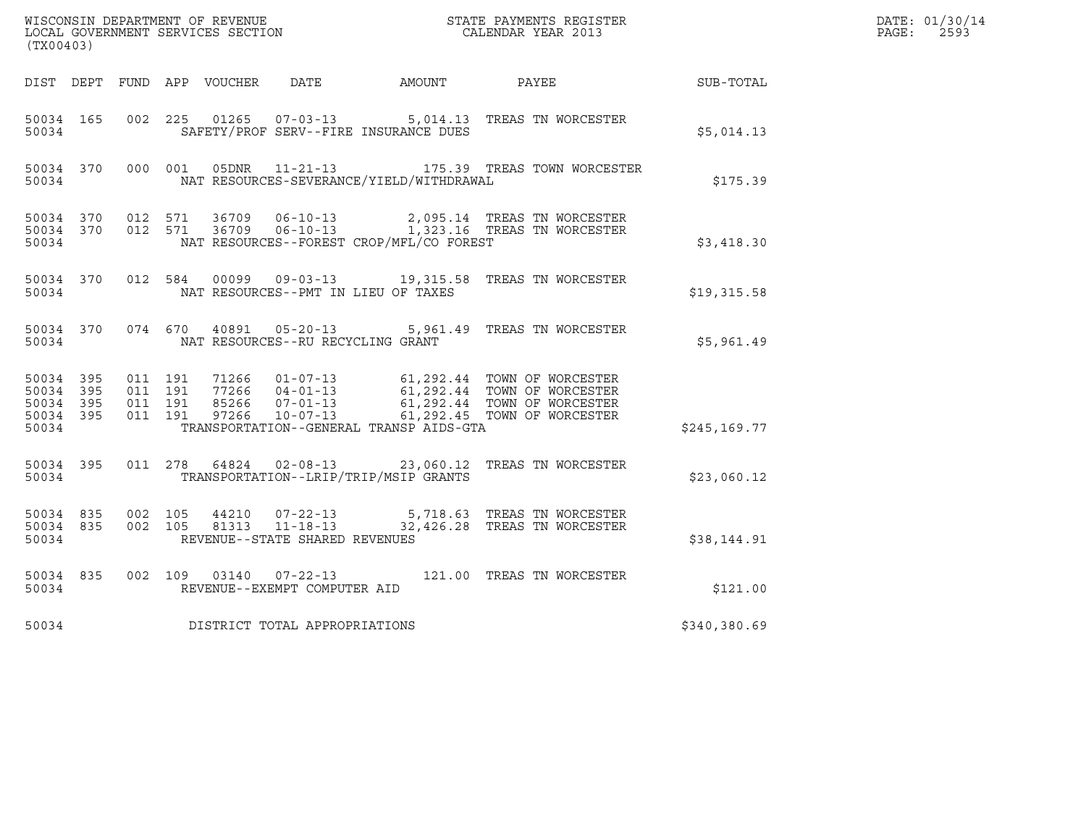| $\tt WISCONSIM DEPARTMENT OF REVENUE$ $\tt TOCAL BINDAR YEAR$ 2013 $\tt COALENDAR YEAR$ 2013<br>(TX00403) |                        |                                          |         |       |                                                     |                                              |                                                                                                                                |               | DATE: 01/30/14<br>$\mathtt{PAGE:}$<br>2593 |
|-----------------------------------------------------------------------------------------------------------|------------------------|------------------------------------------|---------|-------|-----------------------------------------------------|----------------------------------------------|--------------------------------------------------------------------------------------------------------------------------------|---------------|--------------------------------------------|
|                                                                                                           |                        |                                          |         |       |                                                     | DIST DEPT FUND APP VOUCHER DATE AMOUNT PAYEE |                                                                                                                                | SUB-TOTAL     |                                            |
| 50034 165<br>50034                                                                                        |                        | 002 225                                  |         |       |                                                     | SAFETY/PROF SERV--FIRE INSURANCE DUES        | 01265  07-03-13  5,014.13  TREAS TN WORCESTER                                                                                  | \$5,014.13    |                                            |
| 50034 370<br>50034                                                                                        |                        |                                          | 000 001 |       |                                                     | NAT RESOURCES-SEVERANCE/YIELD/WITHDRAWAL     | 05DNR 11-21-13 175.39 TREAS TOWN WORCESTER                                                                                     | \$175.39      |                                            |
| 50034                                                                                                     |                        |                                          |         |       |                                                     | NAT RESOURCES--FOREST CROP/MFL/CO FOREST     | $50034$ 370 012 571 36709 06-10-13 2,095.14 TREAS TN WORCESTER<br>50034 370 012 571 36709 06-10-13 1,323.16 TREAS TN WORCESTER | \$3,418.30    |                                            |
| 50034                                                                                                     |                        |                                          |         |       |                                                     | NAT RESOURCES--PMT IN LIEU OF TAXES          | 50034 370 012 584 00099 09-03-13 19,315.58 TREAS TN WORCESTER                                                                  | \$19,315.58   |                                            |
| 50034                                                                                                     | 50034 370              | 074 670                                  |         |       | 40891 05-20-13<br>NAT RESOURCES--RU RECYCLING GRANT |                                              | 5,961.49 TREAS TN WORCESTER                                                                                                    | \$5,961.49    |                                            |
| 50034 395<br>50034 395<br>50034 395<br>50034                                                              | 50034 395              | 011 191<br>011 191<br>011 191<br>011 191 |         |       |                                                     | TRANSPORTATION--GENERAL TRANSP AIDS-GTA      |                                                                                                                                | \$245, 169.77 |                                            |
| 50034                                                                                                     | 50034 395              |                                          |         |       |                                                     | TRANSPORTATION--LRIP/TRIP/MSIP GRANTS        | 011  278  64824  02-08-13  23,060.12  TREAS TN WORCESTER                                                                       | \$23,060.12   |                                            |
| 50034                                                                                                     | 50034 835<br>50034 835 | 002 105<br>002 105                       |         | 44210 | 81313 11-18-13<br>REVENUE--STATE SHARED REVENUES    |                                              | 07-22-13 5,718.63 TREAS TN WORCESTER<br>32,426.28 TREAS TN WORCESTER                                                           | \$38,144.91   |                                            |
| 50034 835<br>50034                                                                                        |                        | 002 109                                  |         |       | 03140  07-22-13<br>REVENUE--EXEMPT COMPUTER AID     |                                              | 121.00 TREAS TN WORCESTER                                                                                                      | \$121.00      |                                            |
| 50034                                                                                                     |                        |                                          |         |       | DISTRICT TOTAL APPROPRIATIONS                       |                                              |                                                                                                                                | \$340,380.69  |                                            |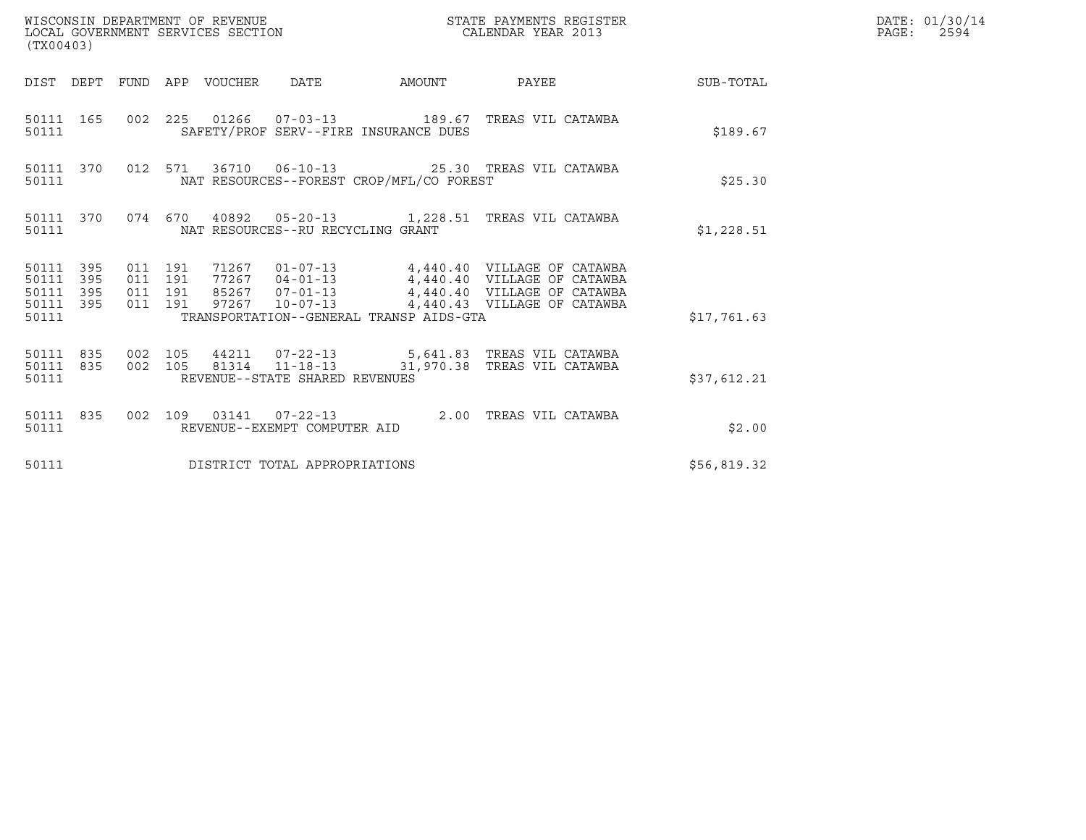| (TX00403)                                                 |                                                                                                                                                                                                                                                                                         |             | DATE: 01/30/14<br>PAGE: 2594 |
|-----------------------------------------------------------|-----------------------------------------------------------------------------------------------------------------------------------------------------------------------------------------------------------------------------------------------------------------------------------------|-------------|------------------------------|
|                                                           | DIST DEPT FUND APP VOUCHER DATE AMOUNT PAYEE TO SUB-TOTAL                                                                                                                                                                                                                               |             |                              |
| 50111 165<br>50111                                        | 002 225 01266 07-03-13 189.67 TREAS VIL CATAWBA<br>SAFETY/PROF SERV--FIRE INSURANCE DUES                                                                                                                                                                                                | \$189.67    |                              |
| 50111                                                     | 50111 370 012 571 36710 06-10-13 25.30 TREAS VIL CATAWBA<br>NAT RESOURCES--FOREST CROP/MFL/CO FOREST                                                                                                                                                                                    | \$25.30     |                              |
| 50111                                                     | 50111 370 074 670 40892 05-20-13 1,228.51 TREAS VIL CATAWBA<br>NAT RESOURCES--RU RECYCLING GRANT                                                                                                                                                                                        | \$1,228.51  |                              |
| 50111 395<br>50111 395<br>50111 395<br>50111 395<br>50111 | 71267  01-07-13  4,440.40  VILLAGE OF CATAWBA<br>77267  04-01-13  4,440.40  VILLAGE OF CATAWBA<br>85267  07-01-13  4,440.40  VILLAGE OF CATAWBA<br>011 191<br>011 191<br>011 191<br>97267  10-07-13  4,440.43  VILLAGE OF CATAWBA<br>011 191<br>TRANSPORTATION--GENERAL TRANSP AIDS-GTA | \$17,761.63 |                              |
| 50111                                                     | 50111 835 002 105 44211 07-22-13 5,641.83 TREAS VIL CATAWBA<br>50111 835 002 105 81314 11-18-13 31,970.38 TREAS VIL CATAWBA<br>REVENUE--STATE SHARED REVENUES                                                                                                                           | \$37,612.21 |                              |
| 50111                                                     | 50111 835 002 109 03141 07-22-13 2.00 TREAS VIL CATAWBA<br>REVENUE--EXEMPT COMPUTER AID                                                                                                                                                                                                 | \$2.00      |                              |
| 50111                                                     | DISTRICT TOTAL APPROPRIATIONS                                                                                                                                                                                                                                                           | \$56,819.32 |                              |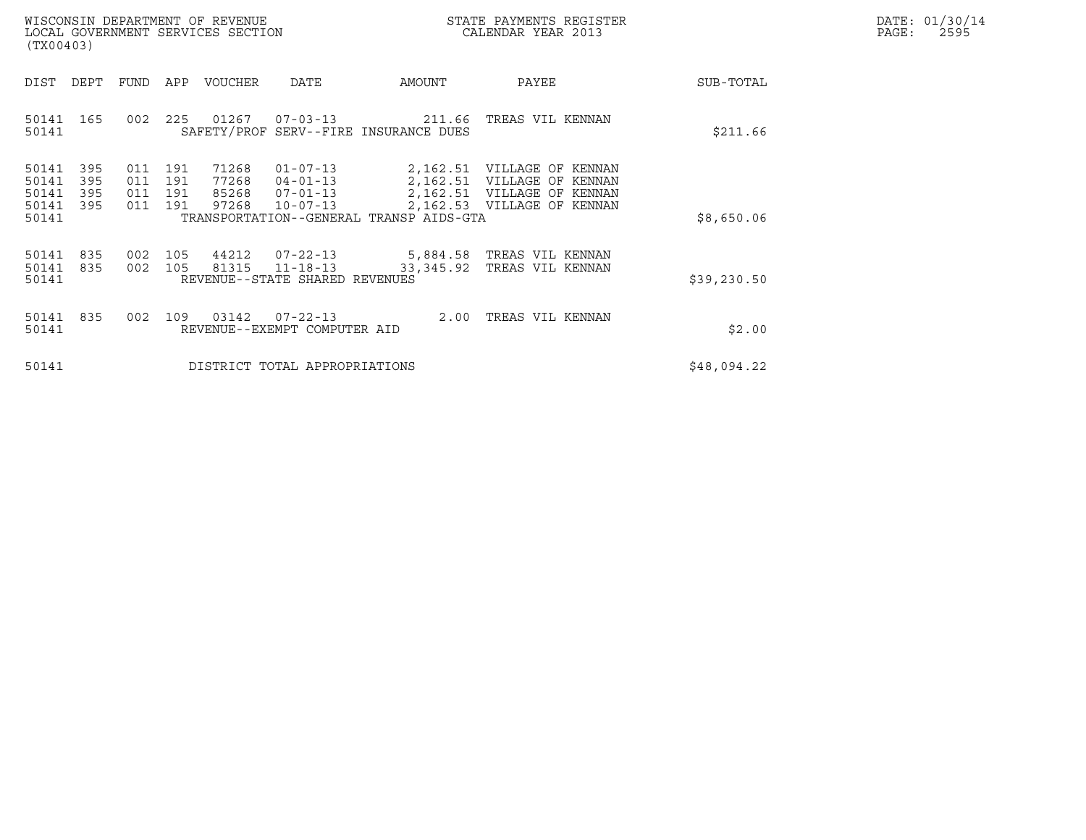|       | DATE: 01/30/14 |
|-------|----------------|
| PAGE: | 2595           |

| WISCONSIN DEPARTMENT OF REVENUE<br>LOCAL GOVERNMENT SERVICES SECTION<br>(TX00403)                     |                                                                                                                                                                          | STATE PAYMENTS REGISTER<br>CALENDAR YEAR 2013                                                                                      | DATE: 01/30/14<br>$\mathtt{PAGE}$ :<br>2595 |
|-------------------------------------------------------------------------------------------------------|--------------------------------------------------------------------------------------------------------------------------------------------------------------------------|------------------------------------------------------------------------------------------------------------------------------------|---------------------------------------------|
| DEPT<br>DIST                                                                                          | FUND APP VOUCHER<br>AMOUNT<br>DATE                                                                                                                                       | SUB-TOTAL<br>PAYEE                                                                                                                 |                                             |
| 50141 165<br>002<br>50141                                                                             | 225 01267 07-03-13 211.66<br>SAFETY/PROF SERV--FIRE INSURANCE DUES                                                                                                       | TREAS VIL KENNAN<br>\$211.66                                                                                                       |                                             |
| 50141<br>395<br>011 191<br>50141<br>395<br>011<br>50141<br>395<br>011<br>50141<br>395<br>011<br>50141 | 71268<br>$01 - 07 - 13$<br>77268<br>191<br>$04 - 01 - 13$<br>191<br>85268<br>$07 - 01 - 13$<br>97268<br>191<br>$10 - 07 - 13$<br>TRANSPORTATION--GENERAL TRANSP AIDS-GTA | 2,162.51 VILLAGE OF KENNAN<br>2,162.51 VILLAGE OF KENNAN<br>2,162.51 VILLAGE OF KENNAN<br>2,162.53 VILLAGE OF KENNAN<br>\$8,650.06 |                                             |
| 50141<br>835<br>002<br>50141<br>835<br>50141                                                          | 105 44212<br>07-22-13 5,884.58 TREAS VIL KENNAN<br>002 105<br>81315<br>$11 - 18 - 13$<br>33,345.92<br>REVENUE--STATE SHARED REVENUES                                     | TREAS VIL KENNAN<br>\$39,230.50                                                                                                    |                                             |
| 50141<br>835<br>002<br>50141                                                                          | 109 03142<br>07-22-13<br>REVENUE--EXEMPT COMPUTER AID                                                                                                                    | 2.00 TREAS VIL KENNAN<br>\$2.00                                                                                                    |                                             |
| 50141                                                                                                 | DISTRICT TOTAL APPROPRIATIONS                                                                                                                                            | \$48,094.22                                                                                                                        |                                             |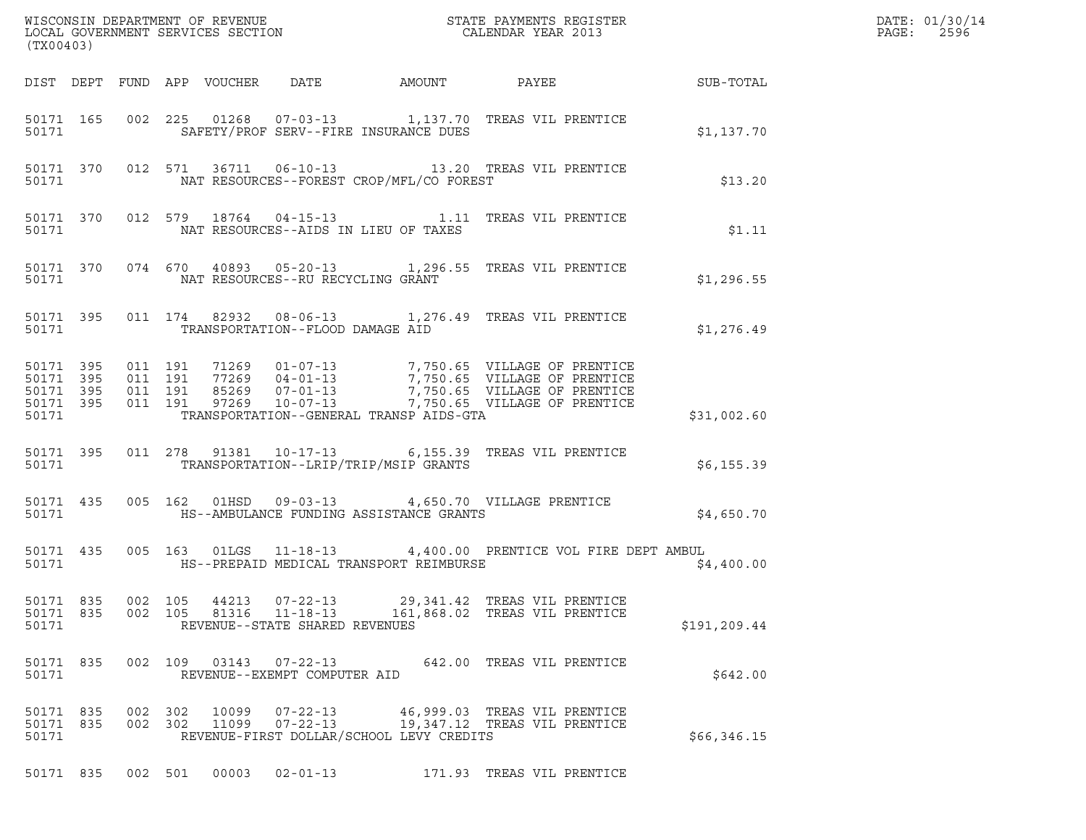| (TX00403)                                                                                                                                                                                                                                                                                                                                       | DATE: 01/30/14<br>PAGE:<br>2596 |
|-------------------------------------------------------------------------------------------------------------------------------------------------------------------------------------------------------------------------------------------------------------------------------------------------------------------------------------------------|---------------------------------|
| DIST DEPT FUND APP VOUCHER DATE AMOUNT PAYEE SUB-TOTAL                                                                                                                                                                                                                                                                                          |                                 |
| 002 225 01268 07-03-13 1,137.70 TREAS VIL PRENTICE<br>50171 165<br>50171<br>SAFETY/PROF SERV--FIRE INSURANCE DUES<br>\$1,137.70                                                                                                                                                                                                                 |                                 |
| 50171 370 012 571 36711 06-10-13 13.20 TREAS VIL PRENTICE<br>NAT RESOURCES--FOREST CROP/MFL/CO FOREST<br>50171<br>\$13.20                                                                                                                                                                                                                       |                                 |
| 50171 370 012 579 18764 04-15-13 1.11 TREAS VIL PRENTICE<br>NAT RESOURCES--AIDS IN LIEU OF TAXES<br>50171<br>\$1.11                                                                                                                                                                                                                             |                                 |
| 50171 370 074 670 40893 05-20-13 1,296.55 TREAS VIL PRENTICE<br>NAT RESOURCES--RU RECYCLING GRANT<br>50171 200<br>\$1,296.55                                                                                                                                                                                                                    |                                 |
| 011 174 82932 08-06-13 1,276.49 TREAS VIL PRENTICE<br>50171 395<br>TRANSPORTATION--FLOOD DAMAGE AID<br>50171<br>\$1,276.49                                                                                                                                                                                                                      |                                 |
| 011 191 71269 01-07-13 7,750.65 VILLAGE OF PRENTICE<br>011 191 77269 04-01-13 7,750.65 VILLAGE OF PRENTICE<br>011 191 85269 07-01-13 7,750.65 VILLAGE OF PRENTICE<br>011 191 97269 10-07-13 7,750.65 VILLAGE OF PRENTICE<br>50171 395<br>50171 395<br>50171 395<br>50171 395<br>TRANSPORTATION--GENERAL TRANSP AIDS-GTA<br>50171<br>\$31,002.60 |                                 |
| 011  278  91381  10-17-13   6,155.39  TREAS VIL PRENTICE<br>50171 395<br>TRANSPORTATION--LRIP/TRIP/MSIP GRANTS<br>\$6,155.39<br>50171                                                                                                                                                                                                           |                                 |
| 005 162 01HSD 09-03-13 4,650.70 VILLAGE PRENTICE<br>50171 435<br>HS--AMBULANCE FUNDING ASSISTANCE GRANTS<br>\$4,650.70<br>50171                                                                                                                                                                                                                 |                                 |
| 005 163 01LGS 11-18-13 4,400.00 PRENTICE VOL FIRE DEPT AMBUL<br>50171 435<br>HS--PREPAID MEDICAL TRANSPORT REIMBURSE<br>50171<br>\$4,400.00                                                                                                                                                                                                     |                                 |
| 50171 835<br>002 105<br>44213<br>$07 - 22 - 13$<br>29,341.42 TREAS VIL PRENTICE<br>50171 835<br>002 105<br>81316<br>$11 - 18 - 13$<br>161,868.02 TREAS VIL PRENTICE<br>50171<br>REVENUE--STATE SHARED REVENUES<br>\$191,209.44                                                                                                                  |                                 |
| 50171 835<br>002 109 03143<br>$07 - 22 - 13$<br>642.00 TREAS VIL PRENTICE<br>50171<br>REVENUE--EXEMPT COMPUTER AID<br>\$642.00                                                                                                                                                                                                                  |                                 |
| 50171 835<br>002 302 10099<br>$07 - 22 - 13$<br>46,999.03 TREAS VIL PRENTICE<br>19,347.12 TREAS VIL PRENTICE<br>50171 835<br>002 302 11099<br>$07 - 22 - 13$<br>REVENUE-FIRST DOLLAR/SCHOOL LEVY CREDITS<br>50171<br>\$66,346.15                                                                                                                |                                 |
| 50171 835 002 501 00003 02-01-13<br>171.93 TREAS VIL PRENTICE                                                                                                                                                                                                                                                                                   |                                 |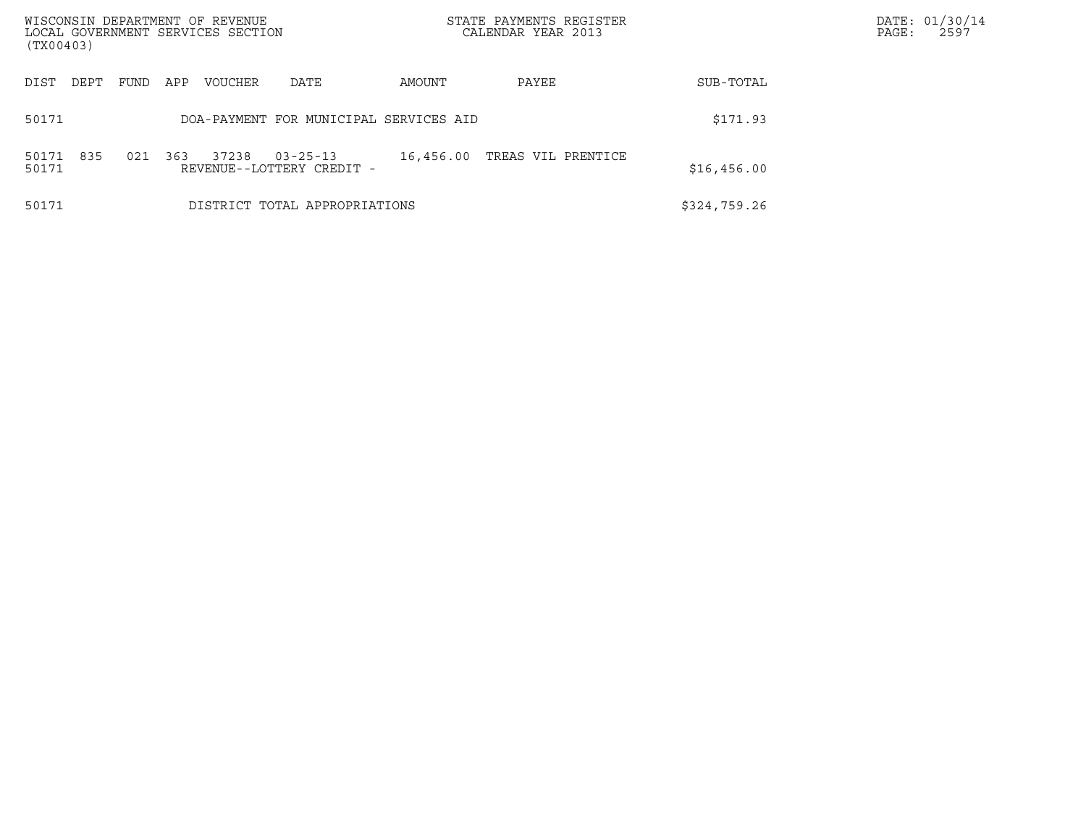| WISCONSIN DEPARTMENT OF REVENUE<br>LOCAL GOVERNMENT SERVICES SECTION<br>(TX00403) |             |         |                                             |           | STATE PAYMENTS REGISTER<br>CALENDAR YEAR 2013 |              | DATE: 01/30/14<br>PAGE:<br>2597 |
|-----------------------------------------------------------------------------------|-------------|---------|---------------------------------------------|-----------|-----------------------------------------------|--------------|---------------------------------|
| DIST<br>DEPT                                                                      | FUND<br>APP | VOUCHER | DATE                                        | AMOUNT    | PAYEE                                         | SUB-TOTAL    |                                 |
| 50171                                                                             |             |         | DOA-PAYMENT FOR MUNICIPAL SERVICES AID      |           |                                               | \$171.93     |                                 |
| 835<br>50171<br>50171                                                             | 021<br>363  | 37238   | $03 - 25 - 13$<br>REVENUE--LOTTERY CREDIT - | 16,456.00 | TREAS VIL PRENTICE                            | \$16,456.00  |                                 |
| 50171                                                                             |             |         | DISTRICT TOTAL APPROPRIATIONS               |           |                                               | \$324,759.26 |                                 |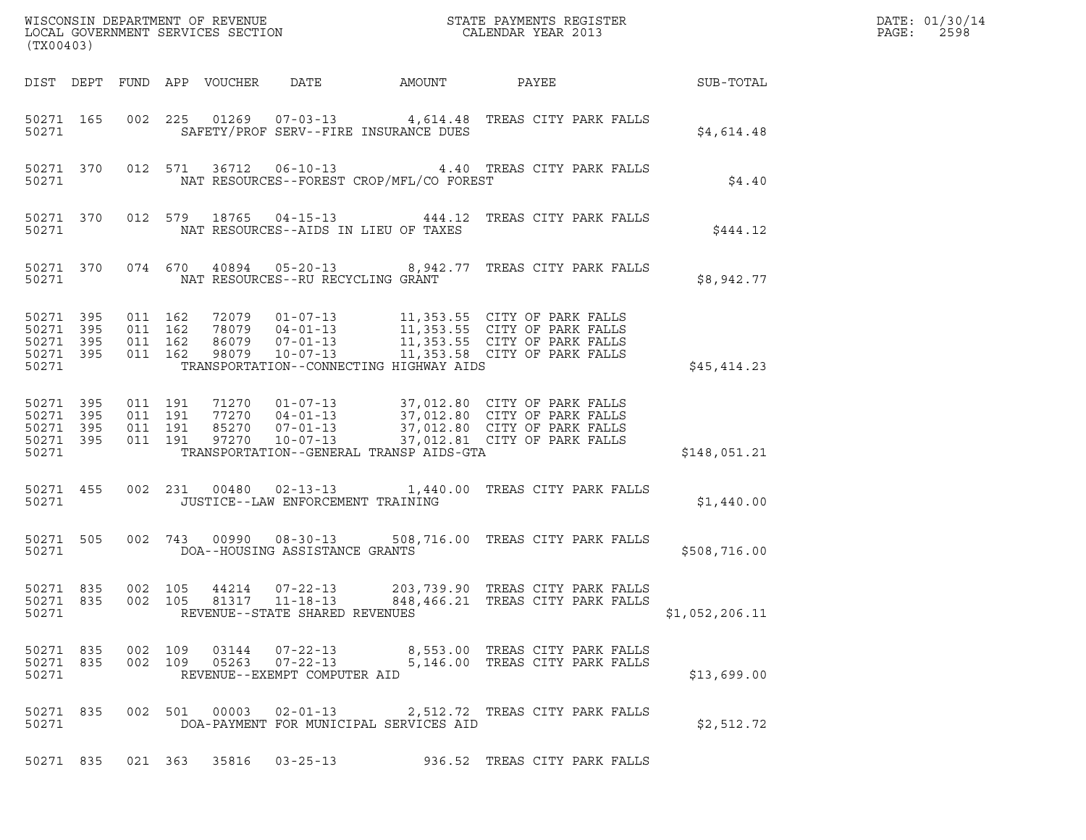| $\tt WISCONSIM DEPARTMENT OF REVENUE$ $\tt WISCONS IN DEPARTMENT SERVICES SECTION$ $\tt SCALENDAR YEAR$ $2013$<br>(TX00403) |       |                               |         |                            |                                                          |                                          |                                                                                                                                                                                                      |                  | DATE: 01/30/14<br>$\mathtt{PAGE:}$<br>2598 |
|-----------------------------------------------------------------------------------------------------------------------------|-------|-------------------------------|---------|----------------------------|----------------------------------------------------------|------------------------------------------|------------------------------------------------------------------------------------------------------------------------------------------------------------------------------------------------------|------------------|--------------------------------------------|
|                                                                                                                             |       |                               |         | DIST DEPT FUND APP VOUCHER | DATE                                                     | AMOUNT                                   | PAYEE                                                                                                                                                                                                | <b>SUB-TOTAL</b> |                                            |
| 50271 165<br>50271                                                                                                          |       |                               |         |                            |                                                          | SAFETY/PROF SERV--FIRE INSURANCE DUES    | 002 225 01269 07-03-13 4,614.48 TREAS CITY PARK FALLS                                                                                                                                                | \$4,614.48       |                                            |
| 50271 370<br>50271                                                                                                          |       |                               |         |                            |                                                          | NAT RESOURCES--FOREST CROP/MFL/CO FOREST | 012 571 36712 06-10-13 4.40 TREAS CITY PARK FALLS                                                                                                                                                    | \$4.40           |                                            |
| 50271 370<br>50271                                                                                                          |       |                               |         |                            |                                                          | NAT RESOURCES--AIDS IN LIEU OF TAXES     | 012 579 18765 04-15-13 444.12 TREAS CITY PARK FALLS                                                                                                                                                  | \$444.12         |                                            |
| 50271 370<br>50271                                                                                                          |       |                               |         |                            | NAT RESOURCES--RU RECYCLING GRANT                        |                                          | 074 670 40894 05-20-13 8,942.77 TREAS CITY PARK FALLS                                                                                                                                                | \$8,942.77       |                                            |
| 50271 395<br>50271<br>50271 395<br>50271 395<br>50271                                                                       | - 395 | 011 162<br>011 162<br>011 162 | 011 162 |                            |                                                          | TRANSPORTATION--CONNECTING HIGHWAY AIDS  | 72079  01-07-13  11,353.55  CITY OF PARK FALLS<br>78079 04-01-13 11,353.55 CITY OF PARK FALLS<br>86079 07-01-13 11,353.55 CITY OF PARK FALLS<br>98079 10-07-13 11,353.58 CITY OF PARK FALLS          | \$45,414.23      |                                            |
| 50271 395<br>50271 395<br>50271 395<br>50271 395<br>50271                                                                   |       | 011 191<br>011 191<br>011 191 | 011 191 |                            |                                                          | TRANSPORTATION--GENERAL TRANSP AIDS-GTA  | 71270  01-07-13  37,012.80  CITY OF PARK FALLS<br>77270  04-01-13  37,012.80  CITY OF PARK FALLS<br>85270  07-01-13  37,012.80  CITY OF PARK FALLS<br>97270  10-07-13  37,012.81  CITY OF PARK FALLS | \$148,051.21     |                                            |
| 50271 455<br>50271                                                                                                          |       |                               |         |                            | JUSTICE--LAW ENFORCEMENT TRAINING                        |                                          | 002 231 00480 02-13-13 1,440.00 TREAS CITY PARK FALLS                                                                                                                                                | \$1,440.00       |                                            |
| 50271 505<br>50271                                                                                                          |       |                               |         |                            | 002 743 00990 08-30-13<br>DOA--HOUSING ASSISTANCE GRANTS |                                          | 508,716.00 TREAS CITY PARK FALLS                                                                                                                                                                     | \$508,716.00     |                                            |
| 50271 835<br>50271                                                                                                          |       |                               | 002 105 |                            | 44214 07-22-13<br>REVENUE--STATE SHARED REVENUES         |                                          | 203,739.90 TREAS CITY PARK FALLS<br>50271 835 002 105 81317 11-18-13 848,466.21 TREAS CITY PARK FALLS                                                                                                | \$1,052,206.11   |                                            |
| 50271 835<br>50271                                                                                                          |       | 50271 835 002 109             |         |                            | REVENUE--EXEMPT COMPUTER AID                             |                                          | 03144  07-22-13  8,553.00 TREAS CITY PARK FALLS<br>002 109 05263 07-22-13 5,146.00 TREAS CITY PARK FALLS                                                                                             | \$13,699.00      |                                            |
| 50271 835<br>50271                                                                                                          |       |                               |         |                            |                                                          | DOA-PAYMENT FOR MUNICIPAL SERVICES AID   | 002 501 00003 02-01-13 2,512.72 TREAS CITY PARK FALLS                                                                                                                                                | \$2,512.72       |                                            |
|                                                                                                                             |       |                               |         |                            | 50271 835 021 363 35816 03-25-13                         |                                          | 936.52 TREAS CITY PARK FALLS                                                                                                                                                                         |                  |                                            |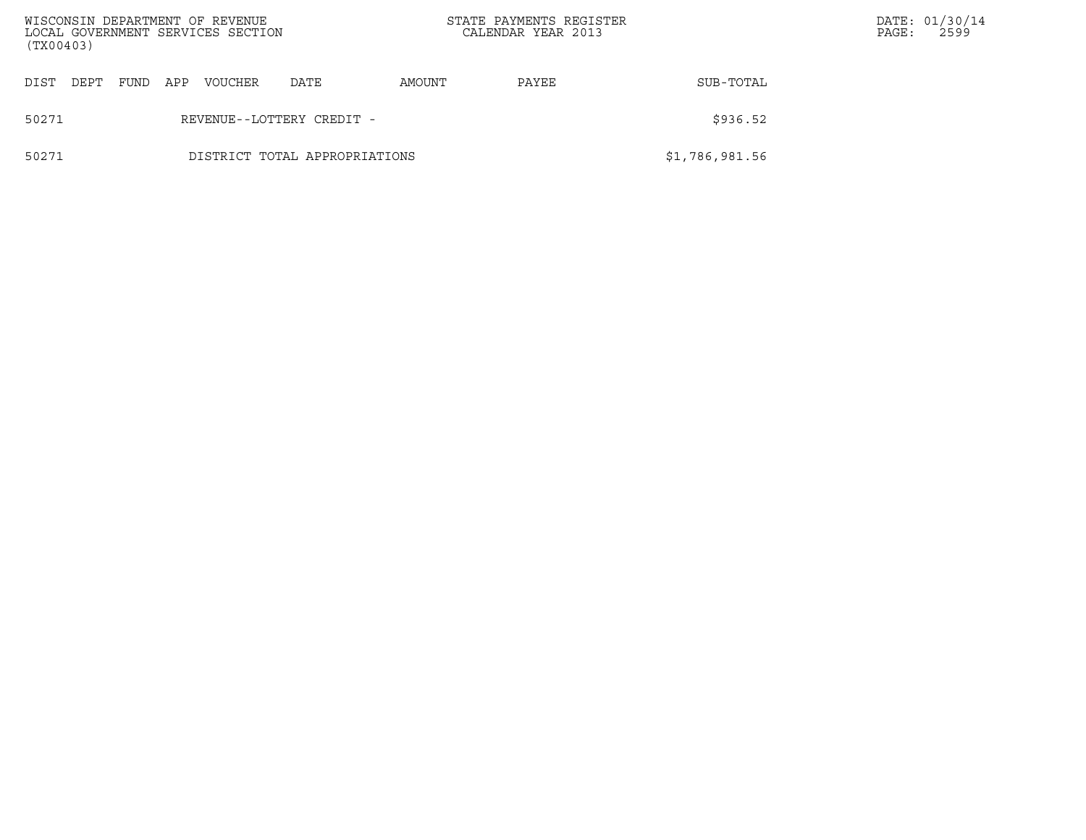| WISCONSIN DEPARTMENT OF REVENUE<br>LOCAL GOVERNMENT SERVICES SECTION<br>(TX00403) |  |      |     |         |                               | STATE PAYMENTS REGISTER<br>CALENDAR YEAR 2013 |          |                | PAGE: | DATE: 01/30/14<br>2599 |
|-----------------------------------------------------------------------------------|--|------|-----|---------|-------------------------------|-----------------------------------------------|----------|----------------|-------|------------------------|
| DIST<br>DEPT                                                                      |  | FUND | APP | VOUCHER | DATE                          | AMOUNT                                        | PAYEE    | SUB-TOTAL      |       |                        |
| 50271                                                                             |  |      |     |         | REVENUE--LOTTERY CREDIT -     |                                               | \$936.52 |                |       |                        |
| 50271                                                                             |  |      |     |         | DISTRICT TOTAL APPROPRIATIONS |                                               |          | \$1,786,981.56 |       |                        |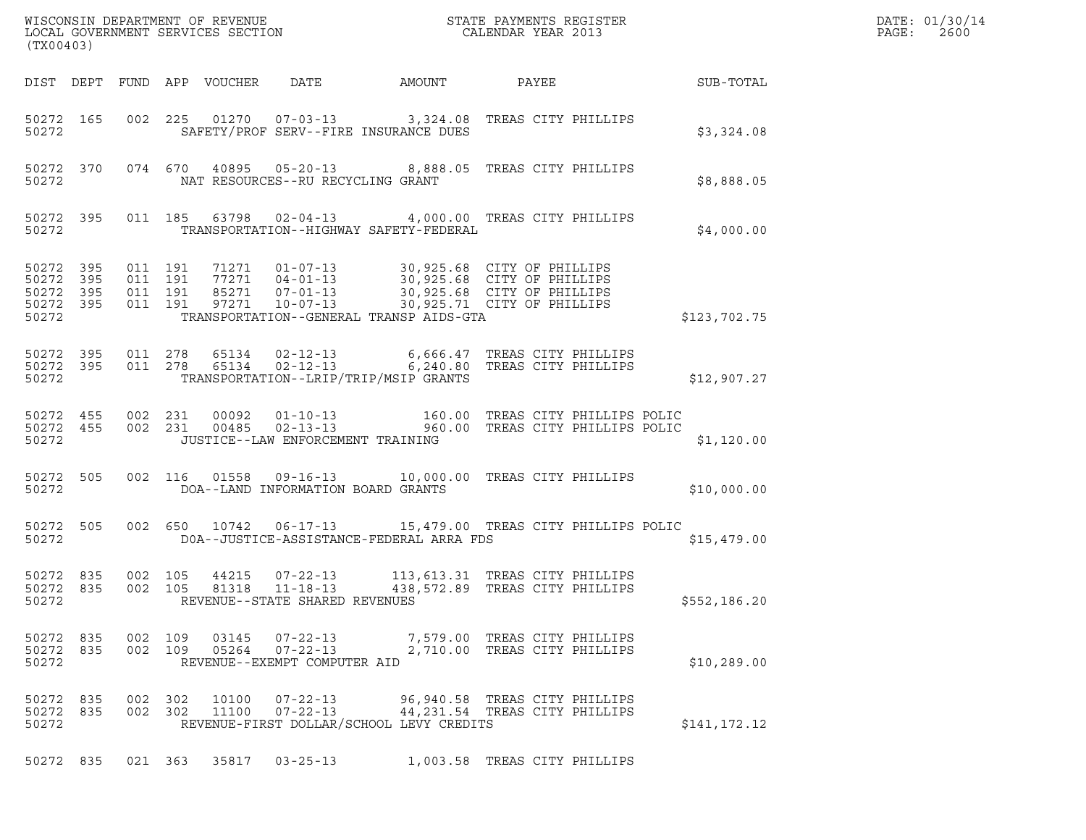| (TX00403)                                             |     |                               |         |                                 |                                                                    |                                          |                                                                                                                                                                                                          |              | DATE: 01/30/14<br>PAGE:<br>2600 |
|-------------------------------------------------------|-----|-------------------------------|---------|---------------------------------|--------------------------------------------------------------------|------------------------------------------|----------------------------------------------------------------------------------------------------------------------------------------------------------------------------------------------------------|--------------|---------------------------------|
|                                                       |     |                               |         | DIST DEPT FUND APP VOUCHER DATE |                                                                    | AMOUNT                                   | PAYEE                                                                                                                                                                                                    | SUB-TOTAL    |                                 |
| 50272 165<br>50272                                    |     |                               |         |                                 |                                                                    | SAFETY/PROF SERV--FIRE INSURANCE DUES    | 002 225 01270 07-03-13 3,324.08 TREAS CITY PHILLIPS                                                                                                                                                      | \$3,324.08   |                                 |
| 50272                                                 |     |                               |         |                                 | NAT RESOURCES--RU RECYCLING GRANT                                  |                                          | 50272 370 074 670 40895 05-20-13 8,888.05 TREAS CITY PHILLIPS                                                                                                                                            | \$8,888.05   |                                 |
| 50272                                                 |     |                               |         |                                 |                                                                    | TRANSPORTATION--HIGHWAY SAFETY-FEDERAL   | 50272 395 011 185 63798 02-04-13 4,000.00 TREAS CITY PHILLIPS                                                                                                                                            | \$4,000.00   |                                 |
| 50272 395<br>50272<br>50272 395<br>50272 395<br>50272 | 395 | 011 191<br>011 191<br>011 191 | 011 191 |                                 |                                                                    | TRANSPORTATION--GENERAL TRANSP AIDS-GTA  | 71271   01-07-13   30,925.68   CITY OF PHILLIPS<br>77271   04-01-13   30,925.68   CITY OF PHILLIPS<br>85271   07-01-13   30,925.68   CITY OF PHILLIPS<br>97271   10-07-13   30,925.71   CITY OF PHILLIPS | \$123,702.75 |                                 |
| 50272 395<br>50272 395<br>50272                       |     |                               |         |                                 |                                                                    | TRANSPORTATION--LRIP/TRIP/MSIP GRANTS    | 011  278  65134  02-12-13   6,666.47  TREAS CITY PHILLIPS<br>011  278  65134  02-12-13   6,240.80  TREAS CITY PHILLIPS                                                                                   | \$12,907.27  |                                 |
| 50272                                                 |     |                               |         |                                 | JUSTICE--LAW ENFORCEMENT TRAINING                                  |                                          | 50272 455 002 231 00092 01-10-13 160.00 TREAS CITY PHILLIPS POLIC<br>50272 455 002 231 00485 02-13-13 960.00 TREAS CITY PHILLIPS POLIC                                                                   | \$1,120.00   |                                 |
| 50272 505<br>50272                                    |     |                               |         |                                 | DOA--LAND INFORMATION BOARD GRANTS                                 |                                          | 002 116 01558 09-16-13 10,000.00 TREAS CITY PHILLIPS                                                                                                                                                     | \$10,000.00  |                                 |
| 50272 505<br>50272                                    |     |                               |         |                                 |                                                                    | DOA--JUSTICE-ASSISTANCE-FEDERAL ARRA FDS | 002 650 10742 06-17-13 15,479.00 TREAS CITY PHILLIPS POLIC                                                                                                                                               | \$15,479.00  |                                 |
| 50272 835<br>50272 835<br>50272                       |     | 002 105<br>002 105            |         | 81318                           | 44215 07-22-13<br>$11 - 18 - 13$<br>REVENUE--STATE SHARED REVENUES |                                          | 113,613.31 TREAS CITY PHILLIPS<br>438,572.89 TREAS CITY PHILLIPS                                                                                                                                         | \$552,186.20 |                                 |
| 50272 835<br>50272                                    |     | 002 109                       |         |                                 | REVENUE--EXEMPT COMPUTER AID                                       |                                          | 50272 835 002 109 03145 07-22-13 7,579.00 TREAS CITY PHILLIPS<br>05264  07-22-13  2,710.00 TREAS CITY PHILLIPS                                                                                           | \$10, 289.00 |                                 |
| 50272 835<br>50272 835<br>50272                       |     | 002 302<br>002 302            |         | 10100<br>11100                  |                                                                    | REVENUE-FIRST DOLLAR/SCHOOL LEVY CREDITS | 07-22-13 96,940.58 TREAS CITY PHILLIPS<br>07-22-13 44,231.54 TREAS CITY PHILLIPS                                                                                                                         | \$141,172.12 |                                 |
| 50272 835                                             |     |                               |         | 021 363 35817                   | $03 - 25 - 13$                                                     |                                          | 1,003.58 TREAS CITY PHILLIPS                                                                                                                                                                             |              |                                 |